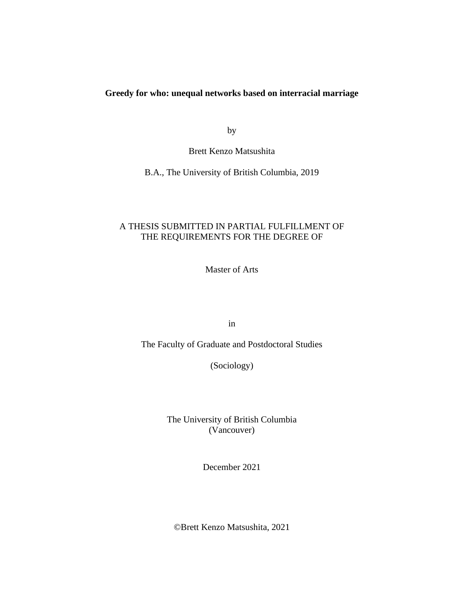## **Greedy for who: unequal networks based on interracial marriage**

by

Brett Kenzo Matsushita

B.A., The University of British Columbia, 2019

## A THESIS SUBMITTED IN PARTIAL FULFILLMENT OF THE REQUIREMENTS FOR THE DEGREE OF

Master of Arts

in

The Faculty of Graduate and Postdoctoral Studies

(Sociology)

The University of British Columbia (Vancouver)

December 2021

©Brett Kenzo Matsushita, 2021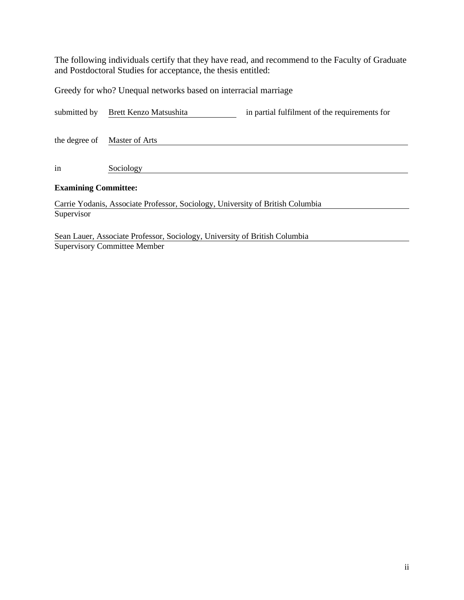The following individuals certify that they have read, and recommend to the Faculty of Graduate and Postdoctoral Studies for acceptance, the thesis entitled:

Greedy for who? Unequal networks based on interracial marriage

| submitted by                | Brett Kenzo Matsushita                                                         | in partial fulfilment of the requirements for |
|-----------------------------|--------------------------------------------------------------------------------|-----------------------------------------------|
| the degree of               | Master of Arts                                                                 |                                               |
| in                          | Sociology                                                                      |                                               |
| <b>Examining Committee:</b> |                                                                                |                                               |
|                             | Carrie Yodanis, Associate Professor, Sociology, University of British Columbia |                                               |
| Supervisor                  |                                                                                |                                               |

Sean Lauer, Associate Professor, Sociology, University of British Columbia Supervisory Committee Member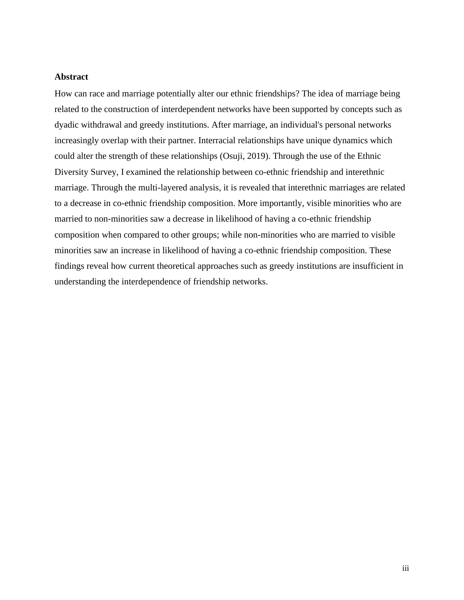## **Abstract**

How can race and marriage potentially alter our ethnic friendships? The idea of marriage being related to the construction of interdependent networks have been supported by concepts such as dyadic withdrawal and greedy institutions. After marriage, an individual's personal networks increasingly overlap with their partner. Interracial relationships have unique dynamics which could alter the strength of these relationships (Osuji, 2019). Through the use of the Ethnic Diversity Survey, I examined the relationship between co-ethnic friendship and interethnic marriage. Through the multi-layered analysis, it is revealed that interethnic marriages are related to a decrease in co-ethnic friendship composition. More importantly, visible minorities who are married to non-minorities saw a decrease in likelihood of having a co-ethnic friendship composition when compared to other groups; while non-minorities who are married to visible minorities saw an increase in likelihood of having a co-ethnic friendship composition. These findings reveal how current theoretical approaches such as greedy institutions are insufficient in understanding the interdependence of friendship networks.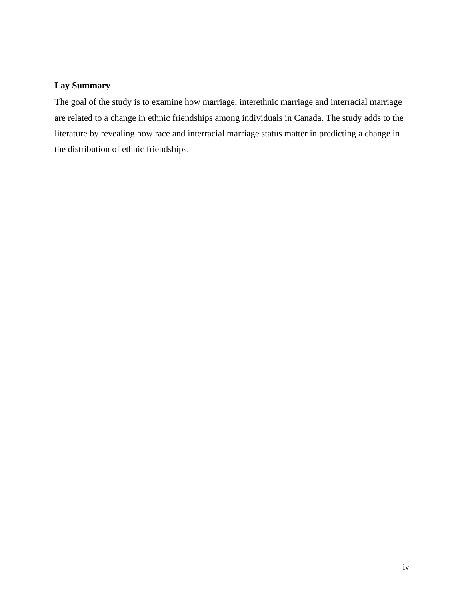# **Lay Summary**

The goal of the study is to examine how marriage, interethnic marriage and interracial marriage are related to a change in ethnic friendships among individuals in Canada. The study adds to the literature by revealing how race and interracial marriage status matter in predicting a change in the distribution of ethnic friendships.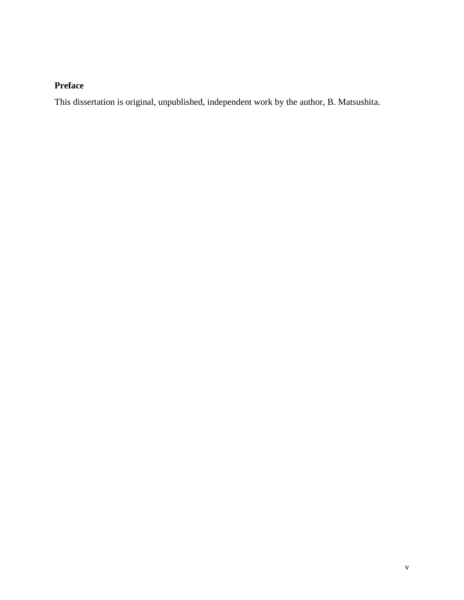# **Preface**

This dissertation is original, unpublished, independent work by the author, B. Matsushita.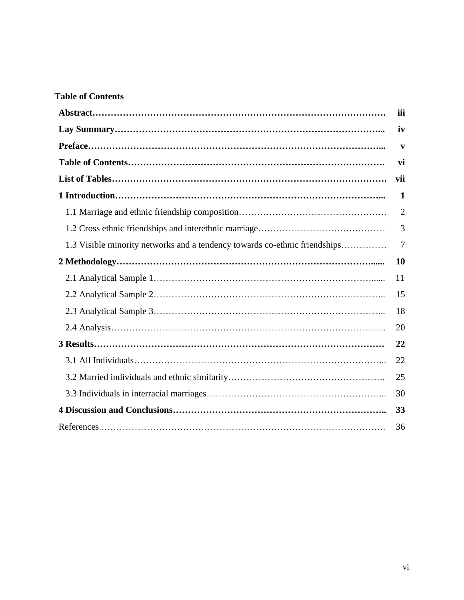# **Table of Contents**

|                                                                            | iii            |
|----------------------------------------------------------------------------|----------------|
|                                                                            | iv             |
|                                                                            | V              |
|                                                                            | vi             |
|                                                                            | vii            |
|                                                                            | 1              |
|                                                                            | $\overline{2}$ |
|                                                                            | 3              |
| 1.3 Visible minority networks and a tendency towards co-ethnic friendships | 7              |
|                                                                            | 10             |
|                                                                            | 11             |
|                                                                            | 15             |
|                                                                            | 18             |
|                                                                            | 20             |
|                                                                            | 22             |
|                                                                            | 22             |
|                                                                            | 25             |
|                                                                            | 30             |
|                                                                            | 33             |
|                                                                            | 36             |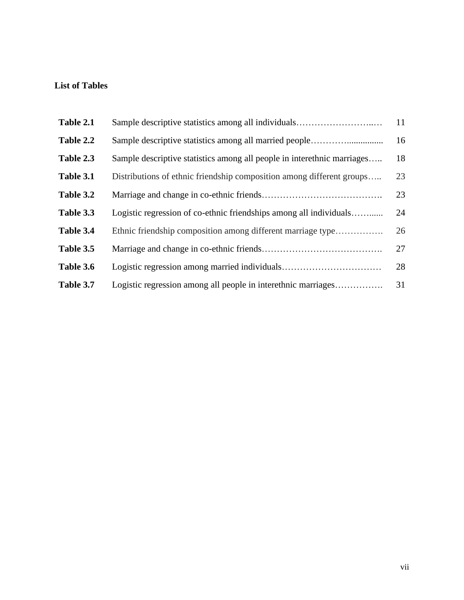# **List of Tables**

| Table 2.1 | Sample descriptive statistics among all individuals                     | 11 |
|-----------|-------------------------------------------------------------------------|----|
| Table 2.2 |                                                                         | 16 |
| Table 2.3 | Sample descriptive statistics among all people in interethnic marriages | 18 |
| Table 3.1 | Distributions of ethnic friendship composition among different groups   | 23 |
| Table 3.2 |                                                                         | 23 |
| Table 3.3 | Logistic regression of co-ethnic friendships among all individuals      | 24 |
| Table 3.4 | Ethnic friendship composition among different marriage type             | 26 |
| Table 3.5 |                                                                         | 27 |
| Table 3.6 |                                                                         | 28 |
| Table 3.7 | Logistic regression among all people in interethnic marriages           | 31 |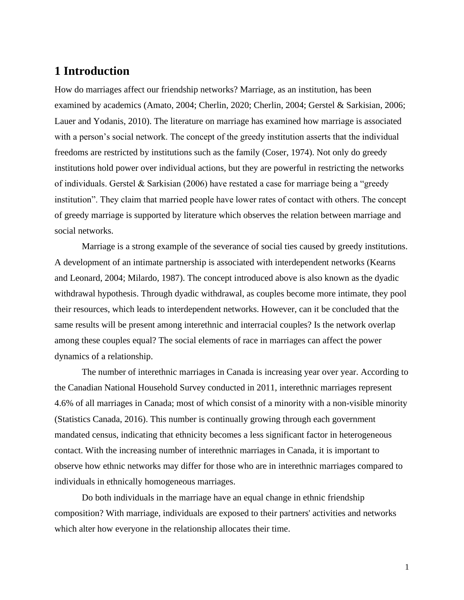# **1 Introduction**

How do marriages affect our friendship networks? Marriage, as an institution, has been examined by academics (Amato, 2004; Cherlin, 2020; Cherlin, 2004; Gerstel & Sarkisian, 2006; Lauer and Yodanis, 2010). The literature on marriage has examined how marriage is associated with a person's social network. The concept of the greedy institution asserts that the individual freedoms are restricted by institutions such as the family (Coser, 1974). Not only do greedy institutions hold power over individual actions, but they are powerful in restricting the networks of individuals. Gerstel & Sarkisian (2006) have restated a case for marriage being a "greedy institution". They claim that married people have lower rates of contact with others. The concept of greedy marriage is supported by literature which observes the relation between marriage and social networks.

Marriage is a strong example of the severance of social ties caused by greedy institutions. A development of an intimate partnership is associated with interdependent networks (Kearns and Leonard, 2004; Milardo, 1987). The concept introduced above is also known as the dyadic withdrawal hypothesis. Through dyadic withdrawal, as couples become more intimate, they pool their resources, which leads to interdependent networks. However, can it be concluded that the same results will be present among interethnic and interracial couples? Is the network overlap among these couples equal? The social elements of race in marriages can affect the power dynamics of a relationship.

The number of interethnic marriages in Canada is increasing year over year. According to the Canadian National Household Survey conducted in 2011, interethnic marriages represent 4.6% of all marriages in Canada; most of which consist of a minority with a non-visible minority (Statistics Canada, 2016). This number is continually growing through each government mandated census, indicating that ethnicity becomes a less significant factor in heterogeneous contact. With the increasing number of interethnic marriages in Canada, it is important to observe how ethnic networks may differ for those who are in interethnic marriages compared to individuals in ethnically homogeneous marriages.

Do both individuals in the marriage have an equal change in ethnic friendship composition? With marriage, individuals are exposed to their partners' activities and networks which alter how everyone in the relationship allocates their time.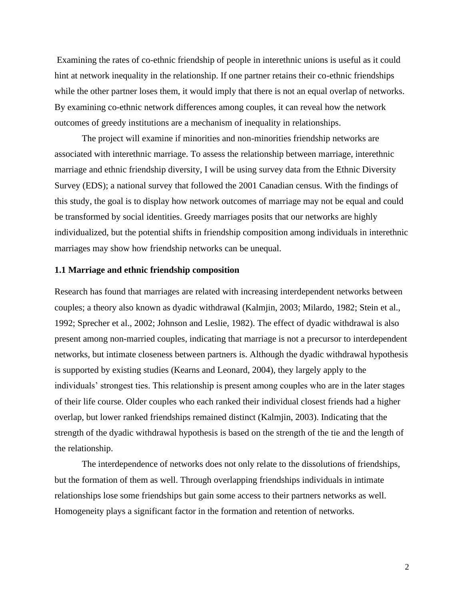Examining the rates of co-ethnic friendship of people in interethnic unions is useful as it could hint at network inequality in the relationship. If one partner retains their co-ethnic friendships while the other partner loses them, it would imply that there is not an equal overlap of networks. By examining co-ethnic network differences among couples, it can reveal how the network outcomes of greedy institutions are a mechanism of inequality in relationships.

The project will examine if minorities and non-minorities friendship networks are associated with interethnic marriage. To assess the relationship between marriage, interethnic marriage and ethnic friendship diversity, I will be using survey data from the Ethnic Diversity Survey (EDS); a national survey that followed the 2001 Canadian census. With the findings of this study, the goal is to display how network outcomes of marriage may not be equal and could be transformed by social identities. Greedy marriages posits that our networks are highly individualized, but the potential shifts in friendship composition among individuals in interethnic marriages may show how friendship networks can be unequal.

#### **1.1 Marriage and ethnic friendship composition**

Research has found that marriages are related with increasing interdependent networks between couples; a theory also known as dyadic withdrawal (Kalmjin, 2003; Milardo, 1982; Stein et al., 1992; Sprecher et al., 2002; Johnson and Leslie, 1982). The effect of dyadic withdrawal is also present among non-married couples, indicating that marriage is not a precursor to interdependent networks, but intimate closeness between partners is. Although the dyadic withdrawal hypothesis is supported by existing studies (Kearns and Leonard, 2004), they largely apply to the individuals' strongest ties. This relationship is present among couples who are in the later stages of their life course. Older couples who each ranked their individual closest friends had a higher overlap, but lower ranked friendships remained distinct (Kalmjin, 2003). Indicating that the strength of the dyadic withdrawal hypothesis is based on the strength of the tie and the length of the relationship.

The interdependence of networks does not only relate to the dissolutions of friendships, but the formation of them as well. Through overlapping friendships individuals in intimate relationships lose some friendships but gain some access to their partners networks as well. Homogeneity plays a significant factor in the formation and retention of networks.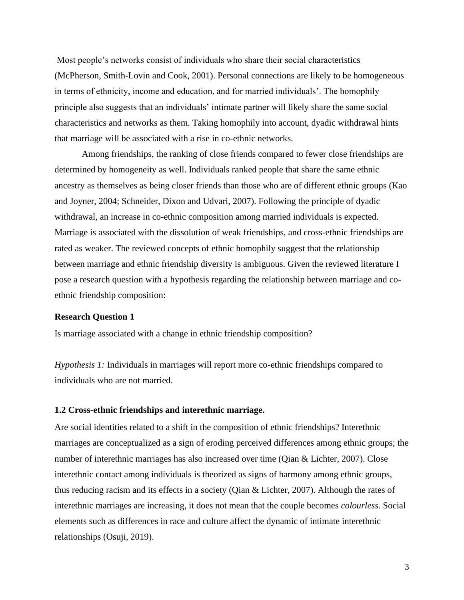Most people's networks consist of individuals who share their social characteristics (McPherson, Smith-Lovin and Cook, 2001). Personal connections are likely to be homogeneous in terms of ethnicity, income and education, and for married individuals'. The homophily principle also suggests that an individuals' intimate partner will likely share the same social characteristics and networks as them. Taking homophily into account, dyadic withdrawal hints that marriage will be associated with a rise in co-ethnic networks.

Among friendships, the ranking of close friends compared to fewer close friendships are determined by homogeneity as well. Individuals ranked people that share the same ethnic ancestry as themselves as being closer friends than those who are of different ethnic groups (Kao and Joyner, 2004; Schneider, Dixon and Udvari, 2007). Following the principle of dyadic withdrawal, an increase in co-ethnic composition among married individuals is expected. Marriage is associated with the dissolution of weak friendships, and cross-ethnic friendships are rated as weaker. The reviewed concepts of ethnic homophily suggest that the relationship between marriage and ethnic friendship diversity is ambiguous. Given the reviewed literature I pose a research question with a hypothesis regarding the relationship between marriage and coethnic friendship composition:

#### **Research Question 1**

Is marriage associated with a change in ethnic friendship composition?

*Hypothesis 1:* Individuals in marriages will report more co-ethnic friendships compared to individuals who are not married.

#### **1.2 Cross-ethnic friendships and interethnic marriage.**

Are social identities related to a shift in the composition of ethnic friendships? Interethnic marriages are conceptualized as a sign of eroding perceived differences among ethnic groups; the number of interethnic marriages has also increased over time (Qian & Lichter, 2007). Close interethnic contact among individuals is theorized as signs of harmony among ethnic groups, thus reducing racism and its effects in a society (Qian & Lichter, 2007). Although the rates of interethnic marriages are increasing, it does not mean that the couple becomes *colourless.* Social elements such as differences in race and culture affect the dynamic of intimate interethnic relationships (Osuji, 2019).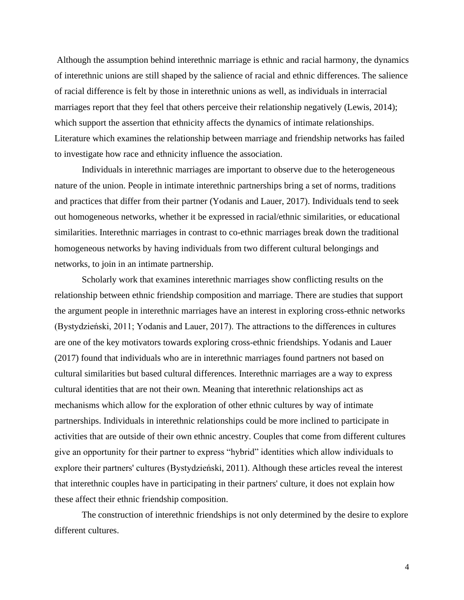Although the assumption behind interethnic marriage is ethnic and racial harmony, the dynamics of interethnic unions are still shaped by the salience of racial and ethnic differences. The salience of racial difference is felt by those in interethnic unions as well, as individuals in interracial marriages report that they feel that others perceive their relationship negatively (Lewis, 2014); which support the assertion that ethnicity affects the dynamics of intimate relationships. Literature which examines the relationship between marriage and friendship networks has failed to investigate how race and ethnicity influence the association.

Individuals in interethnic marriages are important to observe due to the heterogeneous nature of the union. People in intimate interethnic partnerships bring a set of norms, traditions and practices that differ from their partner (Yodanis and Lauer, 2017). Individuals tend to seek out homogeneous networks, whether it be expressed in racial/ethnic similarities, or educational similarities. Interethnic marriages in contrast to co-ethnic marriages break down the traditional homogeneous networks by having individuals from two different cultural belongings and networks, to join in an intimate partnership.

Scholarly work that examines interethnic marriages show conflicting results on the relationship between ethnic friendship composition and marriage. There are studies that support the argument people in interethnic marriages have an interest in exploring cross-ethnic networks (Bystydzieński, 2011; Yodanis and Lauer, 2017). The attractions to the differences in cultures are one of the key motivators towards exploring cross-ethnic friendships. Yodanis and Lauer (2017) found that individuals who are in interethnic marriages found partners not based on cultural similarities but based cultural differences. Interethnic marriages are a way to express cultural identities that are not their own. Meaning that interethnic relationships act as mechanisms which allow for the exploration of other ethnic cultures by way of intimate partnerships. Individuals in interethnic relationships could be more inclined to participate in activities that are outside of their own ethnic ancestry. Couples that come from different cultures give an opportunity for their partner to express "hybrid" identities which allow individuals to explore their partners' cultures (Bystydzieński, 2011). Although these articles reveal the interest that interethnic couples have in participating in their partners' culture, it does not explain how these affect their ethnic friendship composition.

The construction of interethnic friendships is not only determined by the desire to explore different cultures.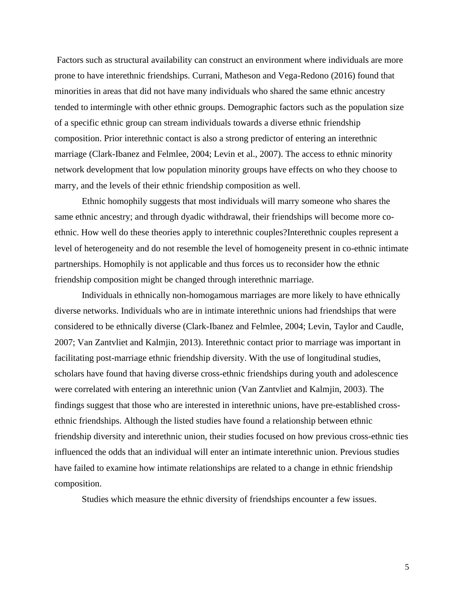Factors such as structural availability can construct an environment where individuals are more prone to have interethnic friendships. Currani, Matheson and Vega-Redono (2016) found that minorities in areas that did not have many individuals who shared the same ethnic ancestry tended to intermingle with other ethnic groups. Demographic factors such as the population size of a specific ethnic group can stream individuals towards a diverse ethnic friendship composition. Prior interethnic contact is also a strong predictor of entering an interethnic marriage (Clark-Ibanez and Felmlee, 2004; Levin et al., 2007). The access to ethnic minority network development that low population minority groups have effects on who they choose to marry, and the levels of their ethnic friendship composition as well.

Ethnic homophily suggests that most individuals will marry someone who shares the same ethnic ancestry; and through dyadic withdrawal, their friendships will become more coethnic. How well do these theories apply to interethnic couples?Interethnic couples represent a level of heterogeneity and do not resemble the level of homogeneity present in co-ethnic intimate partnerships. Homophily is not applicable and thus forces us to reconsider how the ethnic friendship composition might be changed through interethnic marriage.

Individuals in ethnically non-homogamous marriages are more likely to have ethnically diverse networks. Individuals who are in intimate interethnic unions had friendships that were considered to be ethnically diverse (Clark-Ibanez and Felmlee, 2004; Levin, Taylor and Caudle, 2007; Van Zantvliet and Kalmjin, 2013). Interethnic contact prior to marriage was important in facilitating post-marriage ethnic friendship diversity. With the use of longitudinal studies, scholars have found that having diverse cross-ethnic friendships during youth and adolescence were correlated with entering an interethnic union (Van Zantvliet and Kalmjin, 2003). The findings suggest that those who are interested in interethnic unions, have pre-established crossethnic friendships. Although the listed studies have found a relationship between ethnic friendship diversity and interethnic union, their studies focused on how previous cross-ethnic ties influenced the odds that an individual will enter an intimate interethnic union. Previous studies have failed to examine how intimate relationships are related to a change in ethnic friendship composition.

Studies which measure the ethnic diversity of friendships encounter a few issues.

5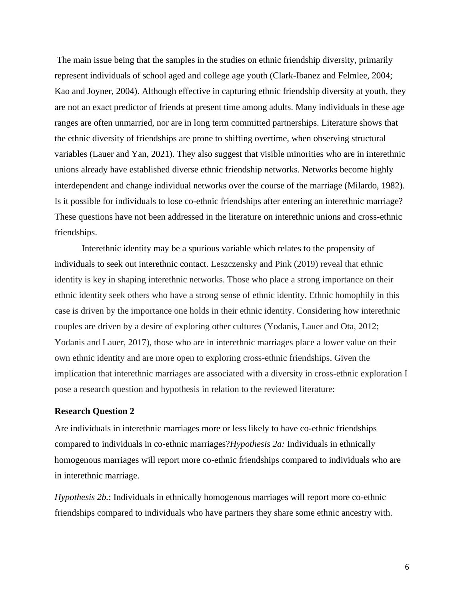The main issue being that the samples in the studies on ethnic friendship diversity, primarily represent individuals of school aged and college age youth (Clark-Ibanez and Felmlee, 2004; Kao and Joyner, 2004). Although effective in capturing ethnic friendship diversity at youth, they are not an exact predictor of friends at present time among adults. Many individuals in these age ranges are often unmarried, nor are in long term committed partnerships. Literature shows that the ethnic diversity of friendships are prone to shifting overtime, when observing structural variables (Lauer and Yan, 2021). They also suggest that visible minorities who are in interethnic unions already have established diverse ethnic friendship networks. Networks become highly interdependent and change individual networks over the course of the marriage (Milardo, 1982). Is it possible for individuals to lose co-ethnic friendships after entering an interethnic marriage? These questions have not been addressed in the literature on interethnic unions and cross-ethnic friendships.

Interethnic identity may be a spurious variable which relates to the propensity of individuals to seek out interethnic contact. Leszczensky and Pink (2019) reveal that ethnic identity is key in shaping interethnic networks. Those who place a strong importance on their ethnic identity seek others who have a strong sense of ethnic identity. Ethnic homophily in this case is driven by the importance one holds in their ethnic identity. Considering how interethnic couples are driven by a desire of exploring other cultures (Yodanis, Lauer and Ota, 2012; Yodanis and Lauer, 2017), those who are in interethnic marriages place a lower value on their own ethnic identity and are more open to exploring cross-ethnic friendships. Given the implication that interethnic marriages are associated with a diversity in cross-ethnic exploration I pose a research question and hypothesis in relation to the reviewed literature:

#### **Research Question 2**

Are individuals in interethnic marriages more or less likely to have co-ethnic friendships compared to individuals in co-ethnic marriages?*Hypothesis 2a:* Individuals in ethnically homogenous marriages will report more co-ethnic friendships compared to individuals who are in interethnic marriage.

*Hypothesis 2b.*: Individuals in ethnically homogenous marriages will report more co-ethnic friendships compared to individuals who have partners they share some ethnic ancestry with.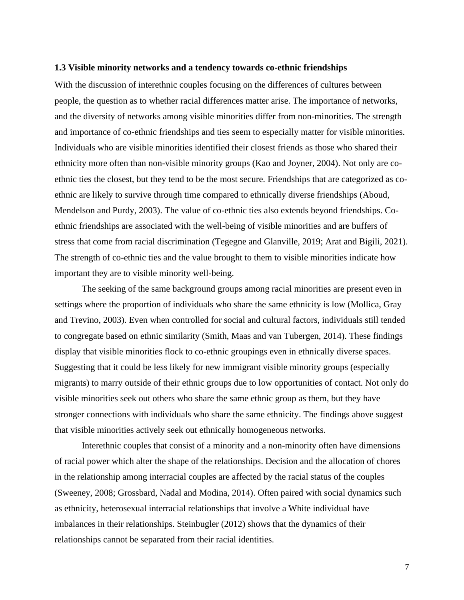#### **1.3 Visible minority networks and a tendency towards co-ethnic friendships**

With the discussion of interethnic couples focusing on the differences of cultures between people, the question as to whether racial differences matter arise. The importance of networks, and the diversity of networks among visible minorities differ from non-minorities. The strength and importance of co-ethnic friendships and ties seem to especially matter for visible minorities. Individuals who are visible minorities identified their closest friends as those who shared their ethnicity more often than non-visible minority groups (Kao and Joyner, 2004). Not only are coethnic ties the closest, but they tend to be the most secure. Friendships that are categorized as coethnic are likely to survive through time compared to ethnically diverse friendships (Aboud, Mendelson and Purdy, 2003). The value of co-ethnic ties also extends beyond friendships. Coethnic friendships are associated with the well-being of visible minorities and are buffers of stress that come from racial discrimination (Tegegne and Glanville, 2019; Arat and Bigili, 2021). The strength of co-ethnic ties and the value brought to them to visible minorities indicate how important they are to visible minority well-being.

The seeking of the same background groups among racial minorities are present even in settings where the proportion of individuals who share the same ethnicity is low (Mollica, Gray and Trevino, 2003). Even when controlled for social and cultural factors, individuals still tended to congregate based on ethnic similarity (Smith, Maas and van Tubergen, 2014). These findings display that visible minorities flock to co-ethnic groupings even in ethnically diverse spaces. Suggesting that it could be less likely for new immigrant visible minority groups (especially migrants) to marry outside of their ethnic groups due to low opportunities of contact. Not only do visible minorities seek out others who share the same ethnic group as them, but they have stronger connections with individuals who share the same ethnicity. The findings above suggest that visible minorities actively seek out ethnically homogeneous networks.

Interethnic couples that consist of a minority and a non-minority often have dimensions of racial power which alter the shape of the relationships. Decision and the allocation of chores in the relationship among interracial couples are affected by the racial status of the couples (Sweeney, 2008; Grossbard, Nadal and Modina, 2014). Often paired with social dynamics such as ethnicity, heterosexual interracial relationships that involve a White individual have imbalances in their relationships. Steinbugler (2012) shows that the dynamics of their relationships cannot be separated from their racial identities.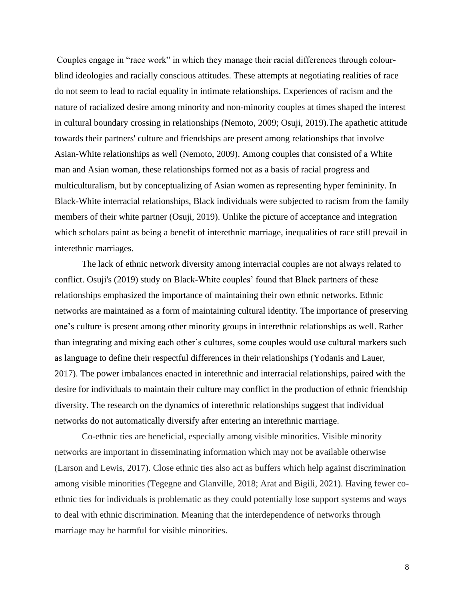Couples engage in "race work" in which they manage their racial differences through colourblind ideologies and racially conscious attitudes. These attempts at negotiating realities of race do not seem to lead to racial equality in intimate relationships. Experiences of racism and the nature of racialized desire among minority and non-minority couples at times shaped the interest in cultural boundary crossing in relationships (Nemoto, 2009; Osuji, 2019).The apathetic attitude towards their partners' culture and friendships are present among relationships that involve Asian-White relationships as well (Nemoto, 2009). Among couples that consisted of a White man and Asian woman, these relationships formed not as a basis of racial progress and multiculturalism, but by conceptualizing of Asian women as representing hyper femininity. In Black-White interracial relationships, Black individuals were subjected to racism from the family members of their white partner (Osuji, 2019). Unlike the picture of acceptance and integration which scholars paint as being a benefit of interethnic marriage, inequalities of race still prevail in interethnic marriages.

The lack of ethnic network diversity among interracial couples are not always related to conflict. Osuji's (2019) study on Black-White couples' found that Black partners of these relationships emphasized the importance of maintaining their own ethnic networks. Ethnic networks are maintained as a form of maintaining cultural identity. The importance of preserving one's culture is present among other minority groups in interethnic relationships as well. Rather than integrating and mixing each other's cultures, some couples would use cultural markers such as language to define their respectful differences in their relationships (Yodanis and Lauer, 2017). The power imbalances enacted in interethnic and interracial relationships, paired with the desire for individuals to maintain their culture may conflict in the production of ethnic friendship diversity. The research on the dynamics of interethnic relationships suggest that individual networks do not automatically diversify after entering an interethnic marriage.

Co-ethnic ties are beneficial, especially among visible minorities. Visible minority networks are important in disseminating information which may not be available otherwise (Larson and Lewis, 2017). Close ethnic ties also act as buffers which help against discrimination among visible minorities (Tegegne and Glanville, 2018; Arat and Bigili, 2021). Having fewer coethnic ties for individuals is problematic as they could potentially lose support systems and ways to deal with ethnic discrimination. Meaning that the interdependence of networks through marriage may be harmful for visible minorities.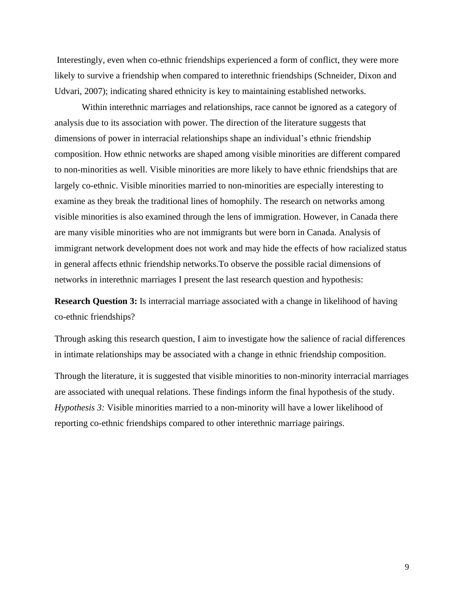Interestingly, even when co-ethnic friendships experienced a form of conflict, they were more likely to survive a friendship when compared to interethnic friendships (Schneider, Dixon and Udvari, 2007); indicating shared ethnicity is key to maintaining established networks.

Within interethnic marriages and relationships, race cannot be ignored as a category of analysis due to its association with power. The direction of the literature suggests that dimensions of power in interracial relationships shape an individual's ethnic friendship composition. How ethnic networks are shaped among visible minorities are different compared to non-minorities as well. Visible minorities are more likely to have ethnic friendships that are largely co-ethnic. Visible minorities married to non-minorities are especially interesting to examine as they break the traditional lines of homophily. The research on networks among visible minorities is also examined through the lens of immigration. However, in Canada there are many visible minorities who are not immigrants but were born in Canada. Analysis of immigrant network development does not work and may hide the effects of how racialized status in general affects ethnic friendship networks.To observe the possible racial dimensions of networks in interethnic marriages I present the last research question and hypothesis:

**Research Question 3:** Is interracial marriage associated with a change in likelihood of having co-ethnic friendships?

Through asking this research question, I aim to investigate how the salience of racial differences in intimate relationships may be associated with a change in ethnic friendship composition.

Through the literature, it is suggested that visible minorities to non-minority interracial marriages are associated with unequal relations. These findings inform the final hypothesis of the study. *Hypothesis 3:* Visible minorities married to a non-minority will have a lower likelihood of reporting co-ethnic friendships compared to other interethnic marriage pairings.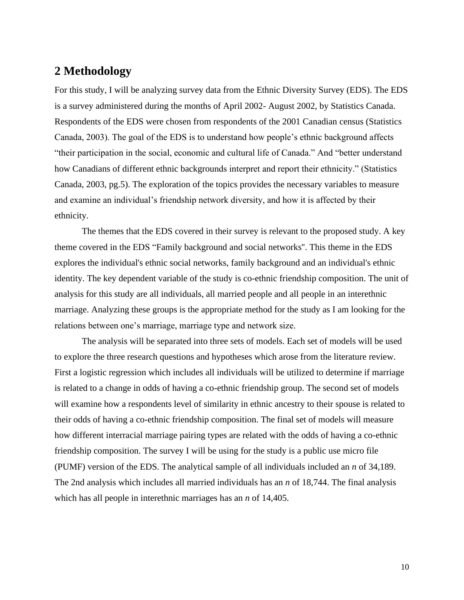# **2 Methodology**

For this study, I will be analyzing survey data from the Ethnic Diversity Survey (EDS). The EDS is a survey administered during the months of April 2002- August 2002, by Statistics Canada. Respondents of the EDS were chosen from respondents of the 2001 Canadian census (Statistics Canada, 2003). The goal of the EDS is to understand how people's ethnic background affects "their participation in the social, economic and cultural life of Canada." And "better understand how Canadians of different ethnic backgrounds interpret and report their ethnicity." (Statistics Canada, 2003, pg.5). The exploration of the topics provides the necessary variables to measure and examine an individual's friendship network diversity, and how it is affected by their ethnicity.

The themes that the EDS covered in their survey is relevant to the proposed study. A key theme covered in the EDS "Family background and social networks''. This theme in the EDS explores the individual's ethnic social networks, family background and an individual's ethnic identity. The key dependent variable of the study is co-ethnic friendship composition. The unit of analysis for this study are all individuals, all married people and all people in an interethnic marriage. Analyzing these groups is the appropriate method for the study as I am looking for the relations between one's marriage, marriage type and network size.

The analysis will be separated into three sets of models. Each set of models will be used to explore the three research questions and hypotheses which arose from the literature review. First a logistic regression which includes all individuals will be utilized to determine if marriage is related to a change in odds of having a co-ethnic friendship group. The second set of models will examine how a respondents level of similarity in ethnic ancestry to their spouse is related to their odds of having a co-ethnic friendship composition. The final set of models will measure how different interracial marriage pairing types are related with the odds of having a co-ethnic friendship composition. The survey I will be using for the study is a public use micro file (PUMF) version of the EDS. The analytical sample of all individuals included an *n* of 34,189. The 2nd analysis which includes all married individuals has an *n* of 18,744. The final analysis which has all people in interethnic marriages has an *n* of 14,405.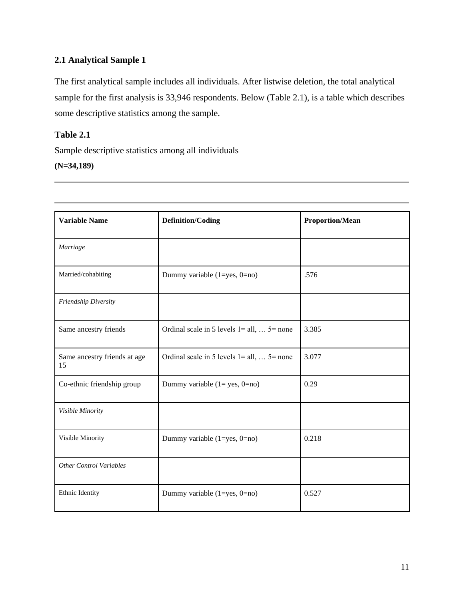# **2.1 Analytical Sample 1**

The first analytical sample includes all individuals. After listwise deletion, the total analytical sample for the first analysis is 33,946 respondents. Below (Table 2.1), is a table which describes some descriptive statistics among the sample.

## **Table 2.1**

Sample descriptive statistics among all individuals

## **(N=34,189)**

| <b>Variable Name</b>               | <b>Definition/Coding</b>                             | <b>Proportion/Mean</b> |  |
|------------------------------------|------------------------------------------------------|------------------------|--|
| Marriage                           |                                                      |                        |  |
| Married/cohabiting                 | Dummy variable $(1 = yes, 0 = no)$                   | .576                   |  |
| Friendship Diversity               |                                                      |                        |  |
| Same ancestry friends              | Ordinal scale in 5 levels $1 = all, \ldots$ 5 = none | 3.385                  |  |
| Same ancestry friends at age<br>15 | Ordinal scale in 5 levels $1 = all, \ldots$ 5 = none | 3.077                  |  |
| Co-ethnic friendship group         | Dummy variable $(1 = yes, 0 = no)$                   | 0.29                   |  |
| Visible Minority                   |                                                      |                        |  |
| Visible Minority                   | Dummy variable $(1 = yes, 0 = no)$                   | 0.218                  |  |
| <b>Other Control Variables</b>     |                                                      |                        |  |
| Ethnic Identity                    | Dummy variable (1=yes, 0=no)                         | 0.527                  |  |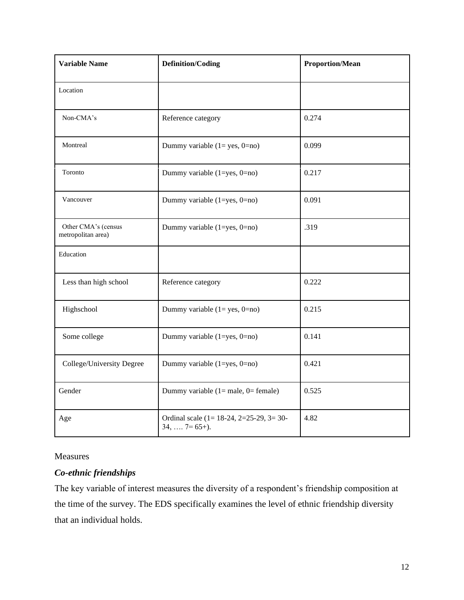| <b>Variable Name</b>                                                     | <b>Definition/Coding</b>                | <b>Proportion/Mean</b> |  |
|--------------------------------------------------------------------------|-----------------------------------------|------------------------|--|
| Location                                                                 |                                         |                        |  |
| Non-CMA's                                                                | Reference category                      | 0.274                  |  |
| Montreal                                                                 | Dummy variable $(1 = yes, 0 = no)$      | 0.099                  |  |
| Toronto                                                                  | Dummy variable (1=yes, 0=no)            | 0.217                  |  |
| Vancouver                                                                | Dummy variable (1=yes, 0=no)            | 0.091                  |  |
| Other CMA's (census<br>metropolitan area)                                | Dummy variable (1=yes, 0=no)            | .319                   |  |
| Education                                                                |                                         |                        |  |
| Less than high school                                                    | Reference category                      | 0.222                  |  |
| Highschool                                                               | Dummy variable $(1 = yes, 0 = no)$      | 0.215                  |  |
| Some college                                                             | Dummy variable (1=yes, 0=no)            | 0.141                  |  |
| College/University Degree<br>Dummy variable (1=yes, 0=no)                |                                         | 0.421                  |  |
| Gender                                                                   | Dummy variable $(1 = male, 0 = female)$ | 0.525                  |  |
| Ordinal scale (1= 18-24, 2=25-29, 3= 30-<br>Age<br>$34, \ldots$ 7= 65+). |                                         | 4.82                   |  |

## Measures

# *Co-ethnic friendships*

The key variable of interest measures the diversity of a respondent's friendship composition at the time of the survey. The EDS specifically examines the level of ethnic friendship diversity that an individual holds.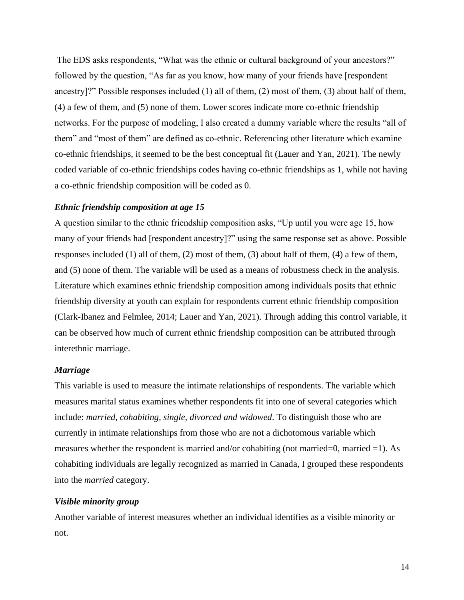The EDS asks respondents, "What was the ethnic or cultural background of your ancestors?" followed by the question, "As far as you know, how many of your friends have [respondent ancestry]?" Possible responses included (1) all of them, (2) most of them, (3) about half of them, (4) a few of them, and (5) none of them. Lower scores indicate more co-ethnic friendship networks. For the purpose of modeling, I also created a dummy variable where the results "all of them" and "most of them" are defined as co-ethnic. Referencing other literature which examine co-ethnic friendships, it seemed to be the best conceptual fit (Lauer and Yan, 2021). The newly coded variable of co-ethnic friendships codes having co-ethnic friendships as 1, while not having a co-ethnic friendship composition will be coded as 0.

## *Ethnic friendship composition at age 15*

A question similar to the ethnic friendship composition asks, "Up until you were age 15, how many of your friends had [respondent ancestry]?" using the same response set as above. Possible responses included (1) all of them, (2) most of them, (3) about half of them, (4) a few of them, and (5) none of them. The variable will be used as a means of robustness check in the analysis. Literature which examines ethnic friendship composition among individuals posits that ethnic friendship diversity at youth can explain for respondents current ethnic friendship composition (Clark-Ibanez and Felmlee, 2014; Lauer and Yan, 2021). Through adding this control variable, it can be observed how much of current ethnic friendship composition can be attributed through interethnic marriage.

## *Marriage*

This variable is used to measure the intimate relationships of respondents. The variable which measures marital status examines whether respondents fit into one of several categories which include: *married, cohabiting, single, divorced and widowed*. To distinguish those who are currently in intimate relationships from those who are not a dichotomous variable which measures whether the respondent is married and/or cohabiting (not married=0, married =1). As cohabiting individuals are legally recognized as married in Canada, I grouped these respondents into the *married* category.

## *Visible minority group*

Another variable of interest measures whether an individual identifies as a visible minority or not.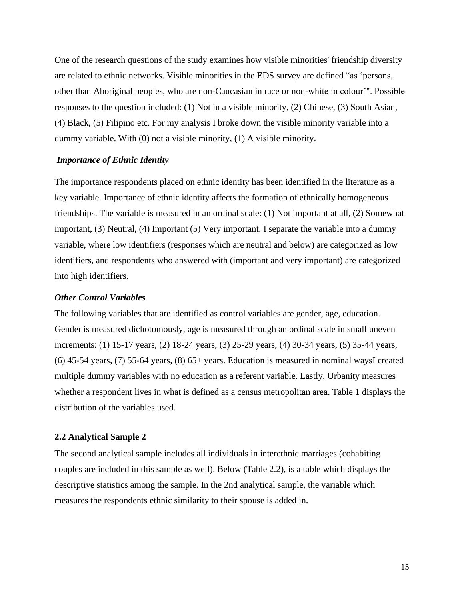One of the research questions of the study examines how visible minorities' friendship diversity are related to ethnic networks. Visible minorities in the EDS survey are defined "as 'persons, other than Aboriginal peoples, who are non-Caucasian in race or non-white in colour'". Possible responses to the question included: (1) Not in a visible minority, (2) Chinese, (3) South Asian, (4) Black, (5) Filipino etc. For my analysis I broke down the visible minority variable into a dummy variable. With (0) not a visible minority, (1) A visible minority.

## *Importance of Ethnic Identity*

The importance respondents placed on ethnic identity has been identified in the literature as a key variable. Importance of ethnic identity affects the formation of ethnically homogeneous friendships. The variable is measured in an ordinal scale: (1) Not important at all, (2) Somewhat important, (3) Neutral, (4) Important (5) Very important. I separate the variable into a dummy variable, where low identifiers (responses which are neutral and below) are categorized as low identifiers, and respondents who answered with (important and very important) are categorized into high identifiers.

#### *Other Control Variables*

The following variables that are identified as control variables are gender, age, education. Gender is measured dichotomously, age is measured through an ordinal scale in small uneven increments: (1) 15-17 years, (2) 18-24 years, (3) 25-29 years, (4) 30-34 years, (5) 35-44 years, (6) 45-54 years, (7) 55-64 years, (8) 65+ years. Education is measured in nominal waysI created multiple dummy variables with no education as a referent variable. Lastly, Urbanity measures whether a respondent lives in what is defined as a census metropolitan area. Table 1 displays the distribution of the variables used.

#### **2.2 Analytical Sample 2**

The second analytical sample includes all individuals in interethnic marriages (cohabiting couples are included in this sample as well). Below (Table 2.2), is a table which displays the descriptive statistics among the sample. In the 2nd analytical sample, the variable which measures the respondents ethnic similarity to their spouse is added in.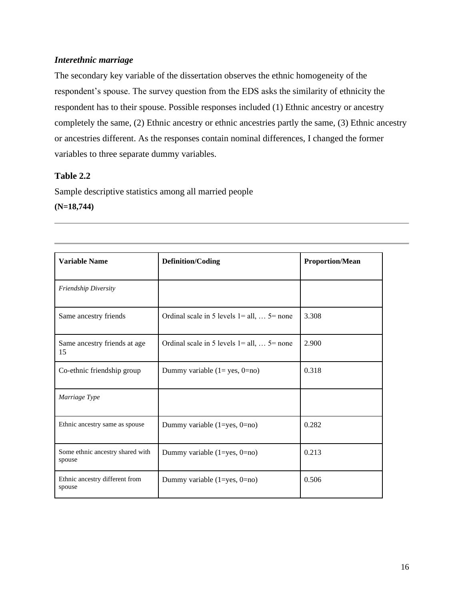## *Interethnic marriage*

The secondary key variable of the dissertation observes the ethnic homogeneity of the respondent's spouse. The survey question from the EDS asks the similarity of ethnicity the respondent has to their spouse. Possible responses included (1) Ethnic ancestry or ancestry completely the same, (2) Ethnic ancestry or ethnic ancestries partly the same, (3) Ethnic ancestry or ancestries different. As the responses contain nominal differences, I changed the former variables to three separate dummy variables.

## **Table 2.2**

Sample descriptive statistics among all married people

## **(N=18,744)**

| <b>Variable Name</b>                       | <b>Definition/Coding</b>                             | <b>Proportion/Mean</b> |  |
|--------------------------------------------|------------------------------------------------------|------------------------|--|
| <b>Friendship Diversity</b>                |                                                      |                        |  |
| Same ancestry friends                      | Ordinal scale in 5 levels $1 = all, \ldots$ 5 = none | 3.308                  |  |
| Same ancestry friends at age<br>15         | Ordinal scale in 5 levels $1 = all, \ldots$ 5 = none | 2.900                  |  |
| Co-ethnic friendship group                 | Dummy variable $(1 = yes, 0 = no)$                   | 0.318                  |  |
| Marriage Type                              |                                                      |                        |  |
| Ethnic ancestry same as spouse             | Dummy variable $(1 = yes, 0 = no)$                   | 0.282                  |  |
| Some ethnic ancestry shared with<br>spouse | Dummy variable $(1 = yes, 0 = no)$                   | 0.213                  |  |
| Ethnic ancestry different from<br>spouse   | Dummy variable $(1 = yes, 0 = no)$                   | 0.506                  |  |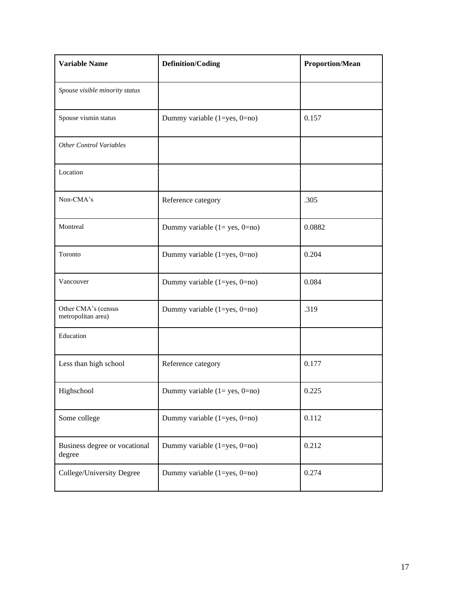| <b>Variable Name</b><br><b>Definition/Coding</b> |                                    | <b>Proportion/Mean</b> |  |
|--------------------------------------------------|------------------------------------|------------------------|--|
| Spouse visible minority status                   |                                    |                        |  |
| Spouse vismin status                             | Dummy variable (1=yes, 0=no)       | 0.157                  |  |
| <b>Other Control Variables</b>                   |                                    |                        |  |
| Location                                         |                                    |                        |  |
| Non-CMA's                                        | Reference category                 | .305                   |  |
| Montreal                                         | Dummy variable $(1 = yes, 0 = no)$ | 0.0882                 |  |
| Toronto                                          | Dummy variable (1=yes, 0=no)       | 0.204                  |  |
| Vancouver                                        | Dummy variable (1=yes, 0=no)       | 0.084                  |  |
| Other CMA's (census<br>metropolitan area)        | Dummy variable (1=yes, 0=no)       | .319                   |  |
| Education                                        |                                    |                        |  |
| Less than high school                            | Reference category                 | 0.177                  |  |
| Highschool                                       | Dummy variable $(1 = yes, 0 = no)$ | 0.225                  |  |
| Some college                                     | Dummy variable (1=yes, 0=no)       | 0.112                  |  |
| Business degree or vocational<br>degree          | Dummy variable $(1 = yes, 0 = no)$ | 0.212                  |  |
| College/University Degree                        | Dummy variable $(1 = yes, 0 = no)$ | 0.274                  |  |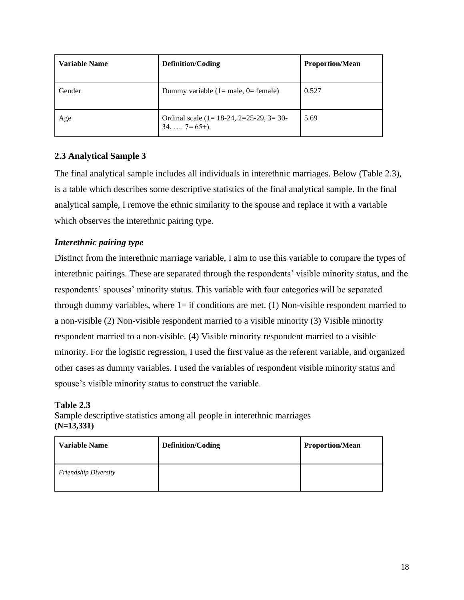| <b>Variable Name</b> | <b>Definition/Coding</b>                                            | <b>Proportion/Mean</b> |  |
|----------------------|---------------------------------------------------------------------|------------------------|--|
| Gender               | Dummy variable $(1 = male, 0 = female)$                             | 0.527                  |  |
| Age                  | Ordinal scale $(1 = 18-24, 2=25-29, 3=30-$<br>$34, \ldots$ 7= 65+). | 5.69                   |  |

## **2.3 Analytical Sample 3**

The final analytical sample includes all individuals in interethnic marriages. Below (Table 2.3), is a table which describes some descriptive statistics of the final analytical sample. In the final analytical sample, I remove the ethnic similarity to the spouse and replace it with a variable which observes the interethnic pairing type.

# *Interethnic pairing type*

Distinct from the interethnic marriage variable, I aim to use this variable to compare the types of interethnic pairings. These are separated through the respondents' visible minority status, and the respondents' spouses' minority status. This variable with four categories will be separated through dummy variables, where  $1=$  if conditions are met. (1) Non-visible respondent married to a non-visible (2) Non-visible respondent married to a visible minority (3) Visible minority respondent married to a non-visible. (4) Visible minority respondent married to a visible minority. For the logistic regression, I used the first value as the referent variable, and organized other cases as dummy variables. I used the variables of respondent visible minority status and spouse's visible minority status to construct the variable.

## **Table 2.3**

Sample descriptive statistics among all people in interethnic marriages **(N=13,331)**

| <b>Variable Name</b>        | <b>Definition/Coding</b> | <b>Proportion/Mean</b> |
|-----------------------------|--------------------------|------------------------|
| <b>Friendship Diversity</b> |                          |                        |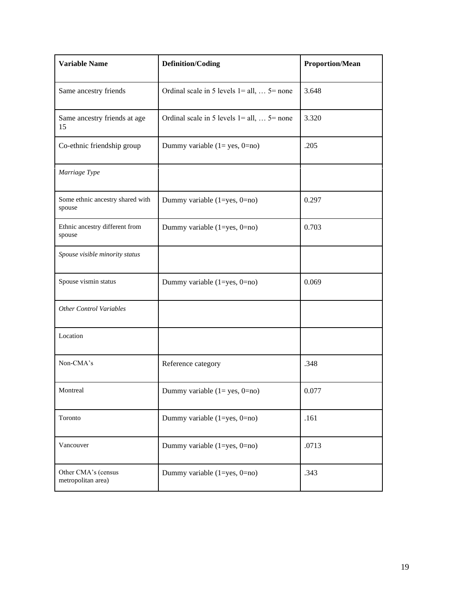| <b>Variable Name</b>                       | <b>Definition/Coding</b>                             | <b>Proportion/Mean</b> |
|--------------------------------------------|------------------------------------------------------|------------------------|
| Same ancestry friends                      | Ordinal scale in 5 levels $1 = all, \ldots$ 5 = none |                        |
| Same ancestry friends at age<br>15         | Ordinal scale in 5 levels $1 = all, \ldots$ 5 = none | 3.320                  |
| Co-ethnic friendship group                 | Dummy variable $(1 = yes, 0 = no)$                   | .205                   |
| Marriage Type                              |                                                      |                        |
| Some ethnic ancestry shared with<br>spouse | Dummy variable (1=yes, 0=no)                         | 0.297                  |
| Ethnic ancestry different from<br>spouse   | Dummy variable (1=yes, 0=no)                         | 0.703                  |
| Spouse visible minority status             |                                                      |                        |
| Spouse vismin status                       | Dummy variable (1=yes, 0=no)                         | 0.069                  |
| <b>Other Control Variables</b>             |                                                      |                        |
| Location                                   |                                                      |                        |
| Non-CMA's                                  | Reference category                                   | .348                   |
| Montreal                                   | Dummy variable $(1 = yes, 0 = no)$                   | 0.077                  |
| Toronto                                    | Dummy variable $(1 = yes, 0 = no)$                   | .161                   |
| Vancouver                                  | Dummy variable $(1 = yes, 0 = no)$                   | .0713                  |
| Other CMA's (census<br>metropolitan area)  | Dummy variable $(1 = yes, 0 = no)$                   | .343                   |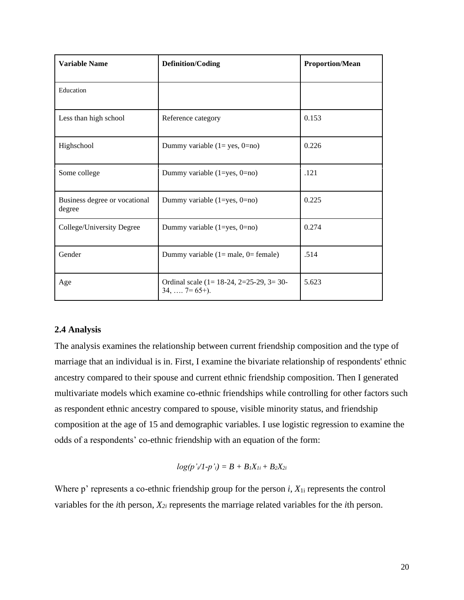| <b>Variable Name</b>                              | <b>Definition/Coding</b>                                                      | <b>Proportion/Mean</b> |
|---------------------------------------------------|-------------------------------------------------------------------------------|------------------------|
| Education                                         |                                                                               |                        |
| Less than high school                             | Reference category                                                            | 0.153                  |
| Highschool<br>Dummy variable $(1 = yes, 0 = no)$  |                                                                               | 0.226                  |
| Some college                                      | Dummy variable $(1 = yes, 0 = no)$                                            | .121                   |
| Business degree or vocational<br>degree           | Dummy variable $(1 = yes, 0 = no)$                                            | 0.225                  |
| College/University Degree                         | Dummy variable $(1 = yes, 0 = no)$                                            | 0.274                  |
| Gender<br>Dummy variable $(1 = male, 0 = female)$ |                                                                               | .514                   |
| Age                                               | Ordinal scale (1= $18-24$ , 2=25-29, 3= 30-<br>5.623<br>$34, \ldots$ 7= 65+). |                        |

## **2.4 Analysis**

The analysis examines the relationship between current friendship composition and the type of marriage that an individual is in. First, I examine the bivariate relationship of respondents' ethnic ancestry compared to their spouse and current ethnic friendship composition. Then I generated multivariate models which examine co-ethnic friendships while controlling for other factors such as respondent ethnic ancestry compared to spouse, visible minority status, and friendship composition at the age of 15 and demographic variables. I use logistic regression to examine the odds of a respondents' co-ethnic friendship with an equation of the form:

$$
log(p'\sqrt{l-p'}i) = B + B_1X_{1i} + B_2X_{2i}
$$

Where p' represents a co-ethnic friendship group for the person *i*, *X*1i represents the control variables for the *i*th person, *X2i* represents the marriage related variables for the *i*th person.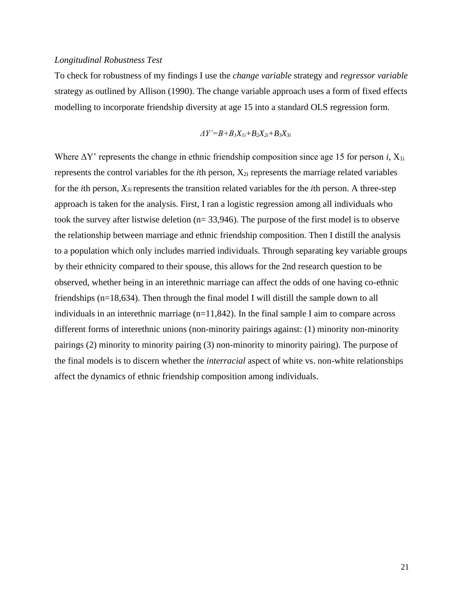## *Longitudinal Robustness Test*

To check for robustness of my findings I use the *change variable* strategy and *regressor variable*  strategy as outlined by Allison (1990). The change variable approach uses a form of fixed effects modelling to incorporate friendship diversity at age 15 into a standard OLS regression form.

$$
\Delta Y'\text{=}B+B_1X_{1i}+B_2X_{2i}+B_3X_{3i}
$$

Where  $\Delta Y$ ' represents the change in ethnic friendship composition since age 15 for person *i*,  $X_{1i}$ represents the control variables for the *i*th person, X2i represents the marriage related variables for the *i*th person, *X3i* represents the transition related variables for the *i*th person. A three-step approach is taken for the analysis. First, I ran a logistic regression among all individuals who took the survey after listwise deletion (n= 33,946). The purpose of the first model is to observe the relationship between marriage and ethnic friendship composition. Then I distill the analysis to a population which only includes married individuals. Through separating key variable groups by their ethnicity compared to their spouse, this allows for the 2nd research question to be observed, whether being in an interethnic marriage can affect the odds of one having co-ethnic friendships (n=18,634). Then through the final model I will distill the sample down to all individuals in an interethnic marriage  $(n=11,842)$ . In the final sample I aim to compare across different forms of interethnic unions (non-minority pairings against: (1) minority non-minority pairings (2) minority to minority pairing (3) non-minority to minority pairing). The purpose of the final models is to discern whether the *interracial* aspect of white vs. non-white relationships affect the dynamics of ethnic friendship composition among individuals.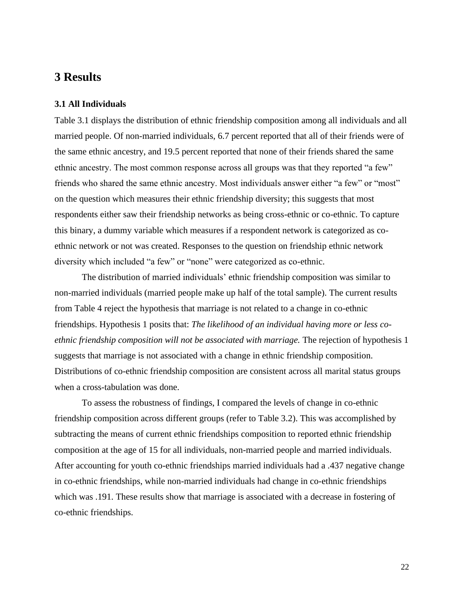# **3 Results**

## **3.1 All Individuals**

Table 3.1 displays the distribution of ethnic friendship composition among all individuals and all married people. Of non-married individuals, 6.7 percent reported that all of their friends were of the same ethnic ancestry, and 19.5 percent reported that none of their friends shared the same ethnic ancestry. The most common response across all groups was that they reported "a few" friends who shared the same ethnic ancestry. Most individuals answer either "a few" or "most" on the question which measures their ethnic friendship diversity; this suggests that most respondents either saw their friendship networks as being cross-ethnic or co-ethnic. To capture this binary, a dummy variable which measures if a respondent network is categorized as coethnic network or not was created. Responses to the question on friendship ethnic network diversity which included "a few" or "none" were categorized as co-ethnic.

The distribution of married individuals' ethnic friendship composition was similar to non-married individuals (married people make up half of the total sample). The current results from Table 4 reject the hypothesis that marriage is not related to a change in co-ethnic friendships. Hypothesis 1 posits that: *The likelihood of an individual having more or less coethnic friendship composition will not be associated with marriage.* The rejection of hypothesis 1 suggests that marriage is not associated with a change in ethnic friendship composition. Distributions of co-ethnic friendship composition are consistent across all marital status groups when a cross-tabulation was done.

To assess the robustness of findings, I compared the levels of change in co-ethnic friendship composition across different groups (refer to Table 3.2). This was accomplished by subtracting the means of current ethnic friendships composition to reported ethnic friendship composition at the age of 15 for all individuals, non-married people and married individuals. After accounting for youth co-ethnic friendships married individuals had a .437 negative change in co-ethnic friendships, while non-married individuals had change in co-ethnic friendships which was .191. These results show that marriage is associated with a decrease in fostering of co-ethnic friendships.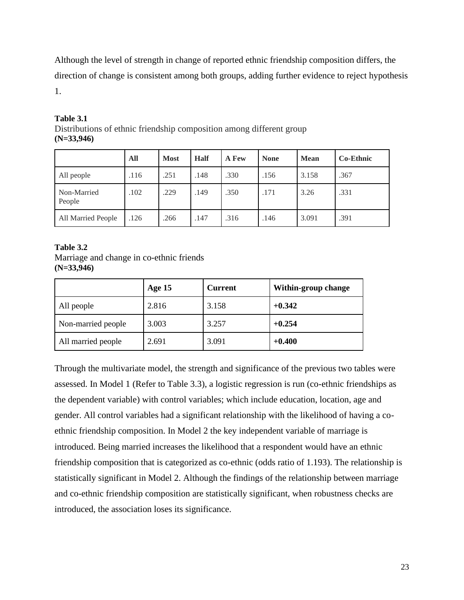Although the level of strength in change of reported ethnic friendship composition differs, the direction of change is consistent among both groups, adding further evidence to reject hypothesis 1.

|                       | All  | <b>Most</b> | <b>Half</b> | A Few | <b>None</b> | <b>Mean</b> | <b>Co-Ethnic</b> |
|-----------------------|------|-------------|-------------|-------|-------------|-------------|------------------|
| All people            | .116 | .251        | .148        | .330  | .156        | 3.158       | .367             |
| Non-Married<br>People | .102 | .229        | .149        | .350  | .171        | 3.26        | .331             |
| All Married People    | .126 | .266        | .147        | .316  | .146        | 3.091       | .391             |

## **Table 3.1** Distributions of ethnic friendship composition among different group **(N=33,946)**

# **Table 3.2**

Marriage and change in co-ethnic friends **(N=33,946)**

|                    | Age 15 | <b>Current</b> | Within-group change |
|--------------------|--------|----------------|---------------------|
| All people         | 2.816  | 3.158          | $+0.342$            |
| Non-married people | 3.003  | 3.257          | $+0.254$            |
| All married people | 2.691  | 3.091          | $+0.400$            |

Through the multivariate model, the strength and significance of the previous two tables were assessed. In Model 1 (Refer to Table 3.3), a logistic regression is run (co-ethnic friendships as the dependent variable) with control variables; which include education, location, age and gender. All control variables had a significant relationship with the likelihood of having a coethnic friendship composition. In Model 2 the key independent variable of marriage is introduced. Being married increases the likelihood that a respondent would have an ethnic friendship composition that is categorized as co-ethnic (odds ratio of 1.193). The relationship is statistically significant in Model 2. Although the findings of the relationship between marriage and co-ethnic friendship composition are statistically significant, when robustness checks are introduced, the association loses its significance.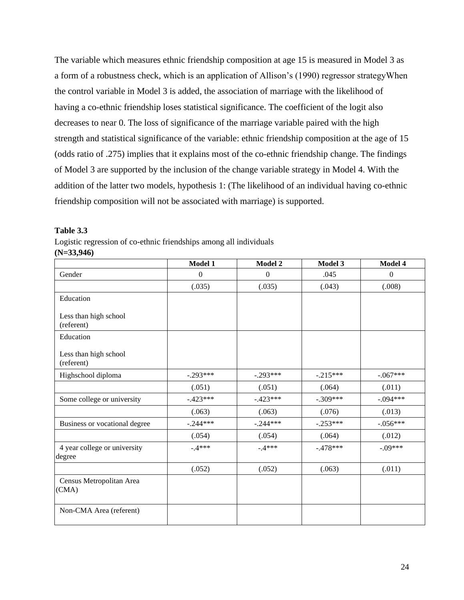The variable which measures ethnic friendship composition at age 15 is measured in Model 3 as a form of a robustness check, which is an application of Allison's (1990) regressor strategyWhen the control variable in Model 3 is added, the association of marriage with the likelihood of having a co-ethnic friendship loses statistical significance. The coefficient of the logit also decreases to near 0. The loss of significance of the marriage variable paired with the high strength and statistical significance of the variable: ethnic friendship composition at the age of 15 (odds ratio of .275) implies that it explains most of the co-ethnic friendship change. The findings of Model 3 are supported by the inclusion of the change variable strategy in Model 4. With the addition of the latter two models, hypothesis 1: (The likelihood of an individual having co-ethnic friendship composition will not be associated with marriage) is supported.

#### **Table 3.3**

Logistic regression of co-ethnic friendships among all individuals

**(N=33,946)**

|                                        | Model 1          | Model 2          | Model 3    | Model 4    |
|----------------------------------------|------------------|------------------|------------|------------|
| Gender                                 | $\boldsymbol{0}$ | $\boldsymbol{0}$ | .045       | $\Omega$   |
|                                        | (.035)           | (.035)           | (.043)     | (.008)     |
| Education                              |                  |                  |            |            |
| Less than high school<br>(referent)    |                  |                  |            |            |
| Education                              |                  |                  |            |            |
| Less than high school<br>(referent)    |                  |                  |            |            |
| Highschool diploma                     | $-.293***$       | $-.293***$       | $-.215***$ | $-.067***$ |
|                                        | (.051)           | (.051)           | (.064)     | (.011)     |
| Some college or university             | $-.423***$       | $-.423***$       | $-.309***$ | $-.094***$ |
|                                        | (.063)           | (.063)           | (.076)     | (.013)     |
| Business or vocational degree          | $-.244***$       | $-.244***$       | $-.253***$ | $-.056***$ |
|                                        | (.054)           | (.054)           | (.064)     | (.012)     |
| 4 year college or university<br>degree | $-4***$          | $-4***$          | $-.478***$ | $-.09***$  |
|                                        | (.052)           | (.052)           | (.063)     | (.011)     |
| Census Metropolitan Area<br>(CMA)      |                  |                  |            |            |
| Non-CMA Area (referent)                |                  |                  |            |            |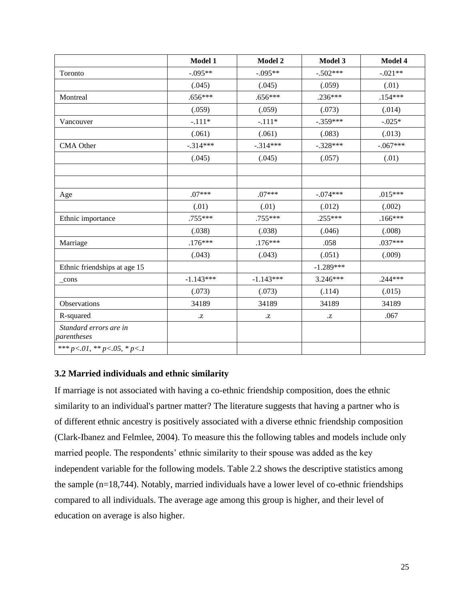|                                       | Model 1              | Model 2              | Model 3              | Model 4    |
|---------------------------------------|----------------------|----------------------|----------------------|------------|
| Toronto                               | $-.095**$            | $-.095**$            | $-.502***$           | $-.021**$  |
|                                       | (.045)               | (.045)               | (.059)               | (.01)      |
| Montreal                              | $.656***$            | $.656***$            | $.236***$            | $.154***$  |
|                                       | (.059)               | (.059)               | (.073)               | (.014)     |
| Vancouver                             | $-.111*$             | $-.111*$             | $-.359***$           | $-.025*$   |
|                                       | (.061)               | (.061)               | (.083)               | (.013)     |
| <b>CMA</b> Other                      | $-.314***$           | $-.314***$           | $-.328***$           | $-.067***$ |
|                                       | (.045)               | (.045)               | (.057)               | (.01)      |
|                                       |                      |                      |                      |            |
| Age                                   | $.07***$             | $.07***$             | $-.074***$           | $.015***$  |
|                                       | (.01)                | (.01)                | (.012)               | (.002)     |
| Ethnic importance                     | .755***              | .755***              | $.255***$            | $.166***$  |
|                                       | (.038)               | (.038)               | (.046)               | (.008)     |
| Marriage                              | $.176***$            | $.176***$            | .058                 | $.037***$  |
|                                       | (.043)               | (.043)               | (.051)               | (.009)     |
| Ethnic friendships at age 15          |                      |                      | $-1.289***$          |            |
| cons                                  | $-1.143***$          | $-1.143***$          | $3.246***$           | $.244***$  |
|                                       | (.073)               | (.073)               | (.114)               | (.015)     |
| Observations                          | 34189                | 34189                | 34189                | 34189      |
| R-squared                             | $\cdot^{\mathsf{Z}}$ | $\cdot^{\mathrm{Z}}$ | $\cdot^{\mathbf{Z}}$ | .067       |
| Standard errors are in<br>parentheses |                      |                      |                      |            |
| *** $p<.01$ , ** $p<.05$ , * $p<.1$   |                      |                      |                      |            |

## **3.2 Married individuals and ethnic similarity**

If marriage is not associated with having a co-ethnic friendship composition, does the ethnic similarity to an individual's partner matter? The literature suggests that having a partner who is of different ethnic ancestry is positively associated with a diverse ethnic friendship composition (Clark-Ibanez and Felmlee, 2004). To measure this the following tables and models include only married people. The respondents' ethnic similarity to their spouse was added as the key independent variable for the following models. Table 2.2 shows the descriptive statistics among the sample (n=18,744). Notably, married individuals have a lower level of co-ethnic friendships compared to all individuals. The average age among this group is higher, and their level of education on average is also higher.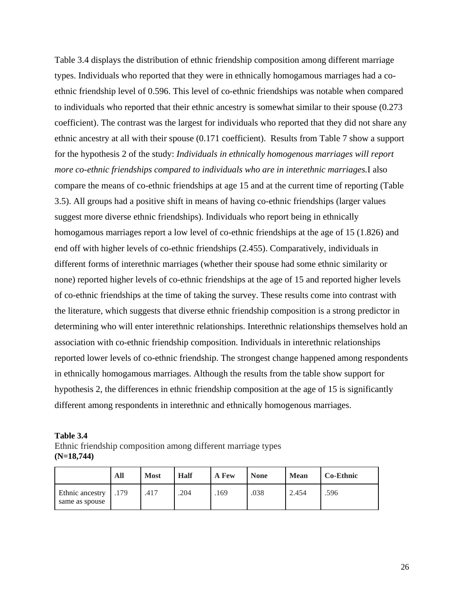Table 3.4 displays the distribution of ethnic friendship composition among different marriage types. Individuals who reported that they were in ethnically homogamous marriages had a coethnic friendship level of 0.596. This level of co-ethnic friendships was notable when compared to individuals who reported that their ethnic ancestry is somewhat similar to their spouse (0.273 coefficient). The contrast was the largest for individuals who reported that they did not share any ethnic ancestry at all with their spouse (0.171 coefficient). Results from Table 7 show a support for the hypothesis 2 of the study: *Individuals in ethnically homogenous marriages will report more co-ethnic friendships compared to individuals who are in interethnic marriages.*I also compare the means of co-ethnic friendships at age 15 and at the current time of reporting (Table 3.5). All groups had a positive shift in means of having co-ethnic friendships (larger values suggest more diverse ethnic friendships). Individuals who report being in ethnically homogamous marriages report a low level of co-ethnic friendships at the age of 15 (1.826) and end off with higher levels of co-ethnic friendships (2.455). Comparatively, individuals in different forms of interethnic marriages (whether their spouse had some ethnic similarity or none) reported higher levels of co-ethnic friendships at the age of 15 and reported higher levels of co-ethnic friendships at the time of taking the survey. These results come into contrast with the literature, which suggests that diverse ethnic friendship composition is a strong predictor in determining who will enter interethnic relationships. Interethnic relationships themselves hold an association with co-ethnic friendship composition. Individuals in interethnic relationships reported lower levels of co-ethnic friendship. The strongest change happened among respondents in ethnically homogamous marriages. Although the results from the table show support for hypothesis 2, the differences in ethnic friendship composition at the age of 15 is significantly different among respondents in interethnic and ethnically homogenous marriages.

| Table 3.4                                                    |
|--------------------------------------------------------------|
| Ethnic friendship composition among different marriage types |
| $(N=18,744)$                                                 |

|                                   | All  | <b>Most</b> | Half | A Few | <b>None</b> | <b>Mean</b> | <b>Co-Ethnic</b> |
|-----------------------------------|------|-------------|------|-------|-------------|-------------|------------------|
| Ethnic ancestry<br>same as spouse | .179 | .417        | .204 | .169  | .038        | 2.454       | .596             |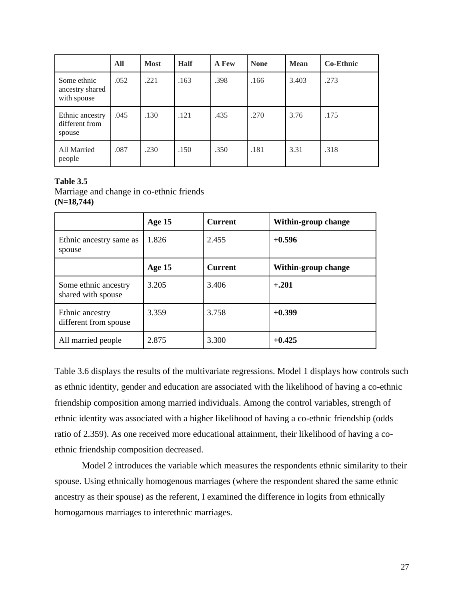|                                               | All  | <b>Most</b> | <b>Half</b> | A Few | <b>None</b> | <b>Mean</b> | <b>Co-Ethnic</b> |
|-----------------------------------------------|------|-------------|-------------|-------|-------------|-------------|------------------|
| Some ethnic<br>ancestry shared<br>with spouse | .052 | .221        | .163        | .398  | .166        | 3.403       | .273             |
| Ethnic ancestry<br>different from<br>spouse   | .045 | .130        | .121        | .435  | .270        | 3.76        | .175             |
| All Married<br>people                         | .087 | .230        | .150        | .350  | .181        | 3.31        | .318             |

## **Table 3.5** Marriage and change in co-ethnic friends **(N=18,744)**

|                                            | Age 15 | <b>Current</b> | Within-group change |
|--------------------------------------------|--------|----------------|---------------------|
| Ethnic ancestry same as<br>spouse          | 1.826  | 2.455          | $+0.596$            |
|                                            | Age 15 | <b>Current</b> | Within-group change |
| Some ethnic ancestry<br>shared with spouse | 3.205  | 3.406          | $+.201$             |
| Ethnic ancestry<br>different from spouse   | 3.359  | 3.758          | $+0.399$            |
| All married people                         | 2.875  | 3.300          | $+0.425$            |

Table 3.6 displays the results of the multivariate regressions. Model 1 displays how controls such as ethnic identity, gender and education are associated with the likelihood of having a co-ethnic friendship composition among married individuals. Among the control variables, strength of ethnic identity was associated with a higher likelihood of having a co-ethnic friendship (odds ratio of 2.359). As one received more educational attainment, their likelihood of having a coethnic friendship composition decreased.

Model 2 introduces the variable which measures the respondents ethnic similarity to their spouse. Using ethnically homogenous marriages (where the respondent shared the same ethnic ancestry as their spouse) as the referent, I examined the difference in logits from ethnically homogamous marriages to interethnic marriages.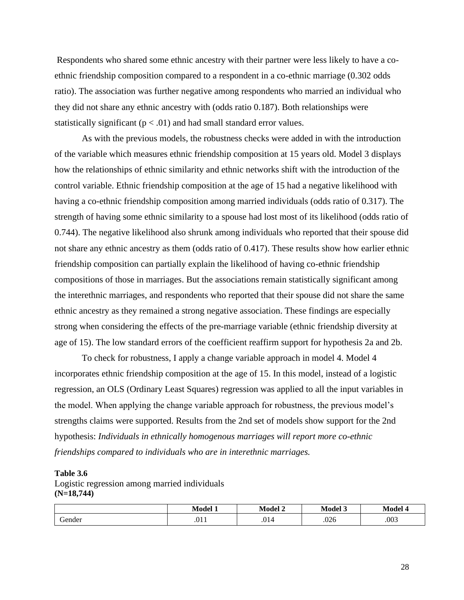Respondents who shared some ethnic ancestry with their partner were less likely to have a coethnic friendship composition compared to a respondent in a co-ethnic marriage (0.302 odds ratio). The association was further negative among respondents who married an individual who they did not share any ethnic ancestry with (odds ratio 0.187). Both relationships were statistically significant ( $p < .01$ ) and had small standard error values.

As with the previous models, the robustness checks were added in with the introduction of the variable which measures ethnic friendship composition at 15 years old. Model 3 displays how the relationships of ethnic similarity and ethnic networks shift with the introduction of the control variable. Ethnic friendship composition at the age of 15 had a negative likelihood with having a co-ethnic friendship composition among married individuals (odds ratio of 0.317). The strength of having some ethnic similarity to a spouse had lost most of its likelihood (odds ratio of 0.744). The negative likelihood also shrunk among individuals who reported that their spouse did not share any ethnic ancestry as them (odds ratio of 0.417). These results show how earlier ethnic friendship composition can partially explain the likelihood of having co-ethnic friendship compositions of those in marriages. But the associations remain statistically significant among the interethnic marriages, and respondents who reported that their spouse did not share the same ethnic ancestry as they remained a strong negative association. These findings are especially strong when considering the effects of the pre-marriage variable (ethnic friendship diversity at age of 15). The low standard errors of the coefficient reaffirm support for hypothesis 2a and 2b.

To check for robustness, I apply a change variable approach in model 4. Model 4 incorporates ethnic friendship composition at the age of 15. In this model, instead of a logistic regression, an OLS (Ordinary Least Squares) regression was applied to all the input variables in the model. When applying the change variable approach for robustness, the previous model's strengths claims were supported. Results from the 2nd set of models show support for the 2nd hypothesis: *Individuals in ethnically homogenous marriages will report more co-ethnic friendships compared to individuals who are in interethnic marriages.*

#### **Table 3.6**

Logistic regression among married individuals **(N=18,744)**

|        | .<br>Model | <b>TTA</b><br>w<br>Model | $\mathbf{1}$ $\mathbf{1}$<br>Model<br>- | . .<br>امامم ان |
|--------|------------|--------------------------|-----------------------------------------|-----------------|
| Gender | .011       | .014                     | .026                                    | .003            |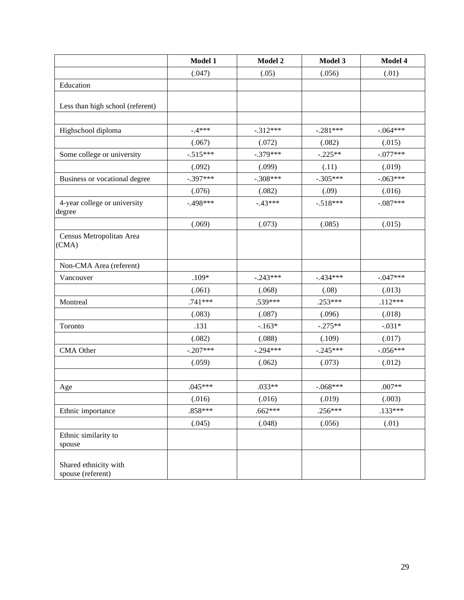|                                            | Model 1    | Model 2    | Model 3    | Model 4    |
|--------------------------------------------|------------|------------|------------|------------|
|                                            | (.047)     | (.05)      | (.056)     | (.01)      |
| Education                                  |            |            |            |            |
| Less than high school (referent)           |            |            |            |            |
|                                            |            |            |            |            |
| Highschool diploma                         | $-.4***$   | $-.312***$ | $-.281***$ | $-.064***$ |
|                                            | (.067)     | (.072)     | (.082)     | (.015)     |
| Some college or university                 | $-.515***$ | $-.379***$ | $-.225**$  | $-.077***$ |
|                                            | (.092)     | (.099)     | (.11)      | (.019)     |
| Business or vocational degree              | $-.397***$ | $-.308***$ | $-.305***$ | $-.063***$ |
|                                            | (.076)     | (.082)     | (.09)      | (.016)     |
| 4-year college or university<br>degree     | $-.498***$ | $-.43***$  | $-.518***$ | $-.087***$ |
|                                            | (.069)     | (.073)     | (.085)     | (.015)     |
| Census Metropolitan Area<br>(CMA)          |            |            |            |            |
| Non-CMA Area (referent)                    |            |            |            |            |
| Vancouver                                  | $.109*$    | $-.243***$ | $-.434***$ | $-.047***$ |
|                                            | (.061)     | (.068)     | (.08)      | (.013)     |
| Montreal                                   | $.741***$  | .539***    | $.253***$  | $.112***$  |
|                                            | (.083)     | (.087)     | (.096)     | (.018)     |
| Toronto                                    | .131       | $-.163*$   | $-.275**$  | $-.031*$   |
|                                            | (.082)     | (.088)     | (.109)     | (.017)     |
| CMA Other                                  | $-.207***$ | $-.294***$ | $-.245***$ | $-.056***$ |
|                                            | (.059)     | (.062)     | (.073)     | (.012)     |
|                                            |            |            |            |            |
| Age                                        | $.045***$  | $.033**$   | $-.068***$ | $.007**$   |
|                                            | (.016)     | (.016)     | (.019)     | (.003)     |
| Ethnic importance                          | .858***    | $.662***$  | $.256***$  | $.133***$  |
|                                            | (.045)     | (.048)     | (.056)     | (.01)      |
| Ethnic similarity to<br>spouse             |            |            |            |            |
| Shared ethnicity with<br>spouse (referent) |            |            |            |            |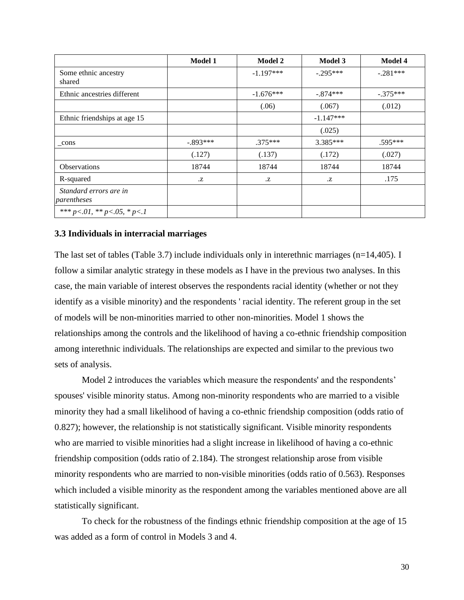|                                       | <b>Model 1</b> | <b>Model 2</b> | Model 3     | <b>Model 4</b> |
|---------------------------------------|----------------|----------------|-------------|----------------|
| Some ethnic ancestry<br>shared        |                | $-1.197***$    | $-.295***$  | $-.281***$     |
| Ethnic ancestries different           |                | $-1.676***$    | $-.874***$  | $-.375***$     |
|                                       |                | (.06)          | (.067)      | (.012)         |
| Ethnic friendships at age 15          |                |                | $-1.147***$ |                |
|                                       |                |                | (.025)      |                |
| cons                                  | $-.893***$     | $.375***$      | $3.385***$  | $.595***$      |
|                                       | (.127)         | (.137)         | (.172)      | (.027)         |
| <b>Observations</b>                   | 18744          | 18744          | 18744       | 18744          |
| R-squared                             | Z              | .Z             | .Z          | .175           |
| Standard errors are in<br>parentheses |                |                |             |                |
| *** $p<.01$ , ** $p<.05$ , * $p<.1$   |                |                |             |                |

## **3.3 Individuals in interracial marriages**

The last set of tables (Table 3.7) include individuals only in interethnic marriages (n=14,405). I follow a similar analytic strategy in these models as I have in the previous two analyses. In this case, the main variable of interest observes the respondents racial identity (whether or not they identify as a visible minority) and the respondents ' racial identity. The referent group in the set of models will be non-minorities married to other non-minorities. Model 1 shows the relationships among the controls and the likelihood of having a co-ethnic friendship composition among interethnic individuals. The relationships are expected and similar to the previous two sets of analysis.

Model 2 introduces the variables which measure the respondents' and the respondents' spouses' visible minority status. Among non-minority respondents who are married to a visible minority they had a small likelihood of having a co-ethnic friendship composition (odds ratio of 0.827); however, the relationship is not statistically significant. Visible minority respondents who are married to visible minorities had a slight increase in likelihood of having a co-ethnic friendship composition (odds ratio of 2.184). The strongest relationship arose from visible minority respondents who are married to non-visible minorities (odds ratio of 0.563). Responses which included a visible minority as the respondent among the variables mentioned above are all statistically significant.

To check for the robustness of the findings ethnic friendship composition at the age of 15 was added as a form of control in Models 3 and 4.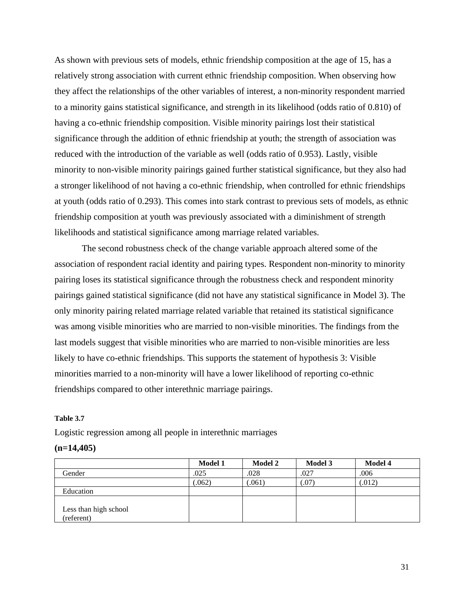As shown with previous sets of models, ethnic friendship composition at the age of 15, has a relatively strong association with current ethnic friendship composition. When observing how they affect the relationships of the other variables of interest, a non-minority respondent married to a minority gains statistical significance, and strength in its likelihood (odds ratio of 0.810) of having a co-ethnic friendship composition. Visible minority pairings lost their statistical significance through the addition of ethnic friendship at youth; the strength of association was reduced with the introduction of the variable as well (odds ratio of 0.953). Lastly, visible minority to non-visible minority pairings gained further statistical significance, but they also had a stronger likelihood of not having a co-ethnic friendship, when controlled for ethnic friendships at youth (odds ratio of 0.293). This comes into stark contrast to previous sets of models, as ethnic friendship composition at youth was previously associated with a diminishment of strength likelihoods and statistical significance among marriage related variables.

The second robustness check of the change variable approach altered some of the association of respondent racial identity and pairing types. Respondent non-minority to minority pairing loses its statistical significance through the robustness check and respondent minority pairings gained statistical significance (did not have any statistical significance in Model 3). The only minority pairing related marriage related variable that retained its statistical significance was among visible minorities who are married to non-visible minorities. The findings from the last models suggest that visible minorities who are married to non-visible minorities are less likely to have co-ethnic friendships. This supports the statement of hypothesis 3: Visible minorities married to a non-minority will have a lower likelihood of reporting co-ethnic friendships compared to other interethnic marriage pairings.

## **Table 3.7**

Logistic regression among all people in interethnic marriages

#### **(n=14,405)**

|                       | <b>Model 1</b> | <b>Model 2</b> | <b>Model 3</b> | <b>Model 4</b> |
|-----------------------|----------------|----------------|----------------|----------------|
| Gender                | .025           | .028           | .027           | .006           |
|                       | (0.062)        | (.061)         | (07)           | (.012)         |
| Education             |                |                |                |                |
|                       |                |                |                |                |
| Less than high school |                |                |                |                |
| (referent)            |                |                |                |                |

31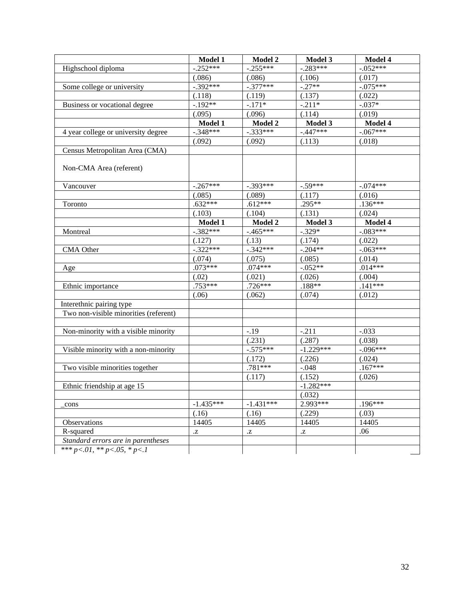|                                          | Model 1     | Model 2     | Model 3     | Model 4     |
|------------------------------------------|-------------|-------------|-------------|-------------|
| Highschool diploma                       | $-.252***$  | $-.255***$  | $-.283***$  | $-.052***$  |
|                                          | (.086)      | (.086)      | (.106)      | (.017)      |
| Some college or university               | $-.392***$  | $-377***$   | $-.27**$    | $-.075***$  |
|                                          | (.118)      | (.119)      | (.137)      | (.022)      |
| Business or vocational degree            | $-.192**$   | $-.171*$    | $-.211*$    | $-.037*$    |
|                                          | (.095)      | (.096)      | (.114)      | (.019)      |
|                                          | Model 1     | Model 2     | Model 3     | Model 4     |
| 4 year college or university degree      | $-.348***$  | $-.333***$  | $-.447***$  | $-.067***$  |
|                                          | (.092)      | (.092)      | (.113)      | (.018)      |
| Census Metropolitan Area (CMA)           |             |             |             |             |
| Non-CMA Area (referent)                  |             |             |             |             |
| Vancouver                                | $-.267***$  | $-.393***$  | $-.59***$   | $-.074***$  |
|                                          | (.085)      | (.089)      | (.117)      | (.016)      |
| Toronto                                  | $.632***$   | $.612***$   | $.295**$    | $.136***$   |
|                                          | (.103)      | (.104)      | (.131)      | (.024)      |
|                                          | Model 1     | Model 2     | Model 3     | Model 4     |
| Montreal                                 | $-.382***$  | $-.465***$  | $-.329*$    | $-.083***$  |
|                                          | (.127)      | (.13)       | (.174)      | (.022)      |
| <b>CMA</b> Other                         | $-322***$   | $-.342***$  | $-.204**$   | $-0.063***$ |
|                                          | (.074)      | (.075)      | (.085)      | (.014)      |
| Age                                      | $.073***$   | $.074***$   | $-.052**$   | $.014***$   |
|                                          | (.02)       | (.021)      | (.026)      | (.004)      |
| Ethnic importance                        | $.753***$   | $.726***$   | $.188**$    | $.141***$   |
|                                          | (.06)       | (.062)      | (.074)      | (.012)      |
| Interethnic pairing type                 |             |             |             |             |
| Two non-visible minorities (referent)    |             |             |             |             |
|                                          |             |             |             |             |
| Non-minority with a visible minority     |             | $-.19$      | $-.211$     | $-.033$     |
|                                          |             | (.231)      | (.287)      | (.038)      |
| Visible minority with a non-minority     |             | $-.575***$  | $-1.229***$ | $-.096***$  |
|                                          |             | (.172)      | (.226)      | (.024)      |
| Two visible minorities together          |             | .781***     | $-.048$     | $.167***$   |
|                                          |             | (.117)      | (.152)      | (.026)      |
| Ethnic friendship at age 15              |             |             | $-1.282***$ |             |
|                                          |             |             | (.032)      |             |
| cons                                     | $-1.435***$ | $-1.431***$ | $2.993***$  | $.196***$   |
|                                          | (.16)       | (.16)       | (.229)      | (.03)       |
| Observations                             | 14405       | 14405       | 14405       | 14405       |
| R-squared                                | .Z          | .Z          | .Z          | .06         |
| Standard errors are in parentheses       |             |             |             |             |
| *** $p < 01$ , ** $p < 0.05$ , * $p < 1$ |             |             |             |             |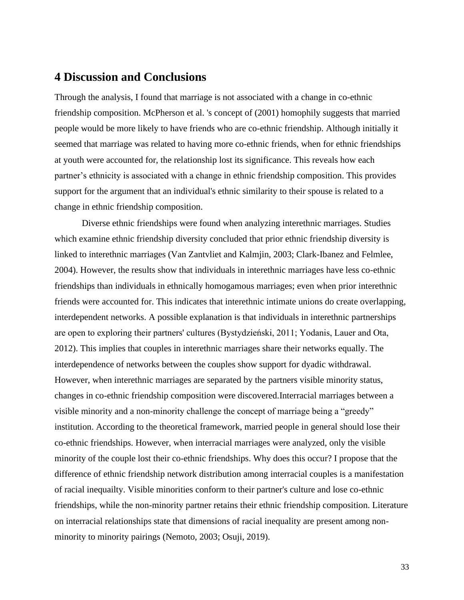# **4 Discussion and Conclusions**

Through the analysis, I found that marriage is not associated with a change in co-ethnic friendship composition. McPherson et al. 's concept of (2001) homophily suggests that married people would be more likely to have friends who are co-ethnic friendship. Although initially it seemed that marriage was related to having more co-ethnic friends, when for ethnic friendships at youth were accounted for, the relationship lost its significance. This reveals how each partner's ethnicity is associated with a change in ethnic friendship composition. This provides support for the argument that an individual's ethnic similarity to their spouse is related to a change in ethnic friendship composition.

Diverse ethnic friendships were found when analyzing interethnic marriages. Studies which examine ethnic friendship diversity concluded that prior ethnic friendship diversity is linked to interethnic marriages (Van Zantvliet and Kalmjin, 2003; Clark-Ibanez and Felmlee, 2004). However, the results show that individuals in interethnic marriages have less co-ethnic friendships than individuals in ethnically homogamous marriages; even when prior interethnic friends were accounted for. This indicates that interethnic intimate unions do create overlapping, interdependent networks. A possible explanation is that individuals in interethnic partnerships are open to exploring their partners' cultures (Bystydzieński, 2011; Yodanis, Lauer and Ota, 2012). This implies that couples in interethnic marriages share their networks equally. The interdependence of networks between the couples show support for dyadic withdrawal. However, when interethnic marriages are separated by the partners visible minority status, changes in co-ethnic friendship composition were discovered.Interracial marriages between a visible minority and a non-minority challenge the concept of marriage being a "greedy" institution. According to the theoretical framework, married people in general should lose their co-ethnic friendships. However, when interracial marriages were analyzed, only the visible minority of the couple lost their co-ethnic friendships. Why does this occur? I propose that the difference of ethnic friendship network distribution among interracial couples is a manifestation of racial inequailty. Visible minorities conform to their partner's culture and lose co-ethnic friendships, while the non-minority partner retains their ethnic friendship composition. Literature on interracial relationships state that dimensions of racial inequality are present among nonminority to minority pairings (Nemoto, 2003; Osuji, 2019).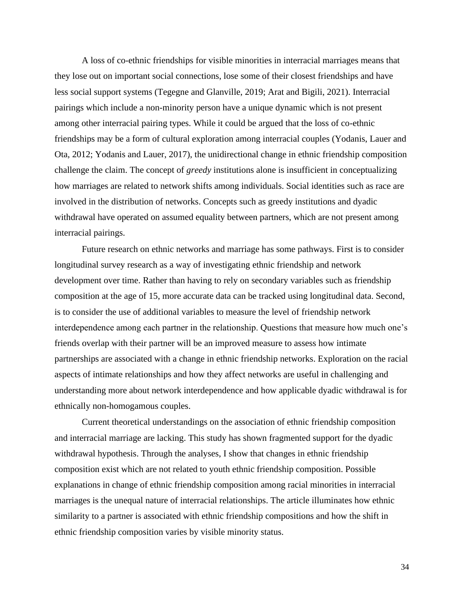A loss of co-ethnic friendships for visible minorities in interracial marriages means that they lose out on important social connections, lose some of their closest friendships and have less social support systems (Tegegne and Glanville, 2019; Arat and Bigili, 2021). Interracial pairings which include a non-minority person have a unique dynamic which is not present among other interracial pairing types. While it could be argued that the loss of co-ethnic friendships may be a form of cultural exploration among interracial couples (Yodanis, Lauer and Ota, 2012; Yodanis and Lauer, 2017), the unidirectional change in ethnic friendship composition challenge the claim. The concept of *greedy* institutions alone is insufficient in conceptualizing how marriages are related to network shifts among individuals. Social identities such as race are involved in the distribution of networks. Concepts such as greedy institutions and dyadic withdrawal have operated on assumed equality between partners, which are not present among interracial pairings.

Future research on ethnic networks and marriage has some pathways. First is to consider longitudinal survey research as a way of investigating ethnic friendship and network development over time. Rather than having to rely on secondary variables such as friendship composition at the age of 15, more accurate data can be tracked using longitudinal data. Second, is to consider the use of additional variables to measure the level of friendship network interdependence among each partner in the relationship. Questions that measure how much one's friends overlap with their partner will be an improved measure to assess how intimate partnerships are associated with a change in ethnic friendship networks. Exploration on the racial aspects of intimate relationships and how they affect networks are useful in challenging and understanding more about network interdependence and how applicable dyadic withdrawal is for ethnically non-homogamous couples.

Current theoretical understandings on the association of ethnic friendship composition and interracial marriage are lacking. This study has shown fragmented support for the dyadic withdrawal hypothesis. Through the analyses, I show that changes in ethnic friendship composition exist which are not related to youth ethnic friendship composition. Possible explanations in change of ethnic friendship composition among racial minorities in interracial marriages is the unequal nature of interracial relationships. The article illuminates how ethnic similarity to a partner is associated with ethnic friendship compositions and how the shift in ethnic friendship composition varies by visible minority status.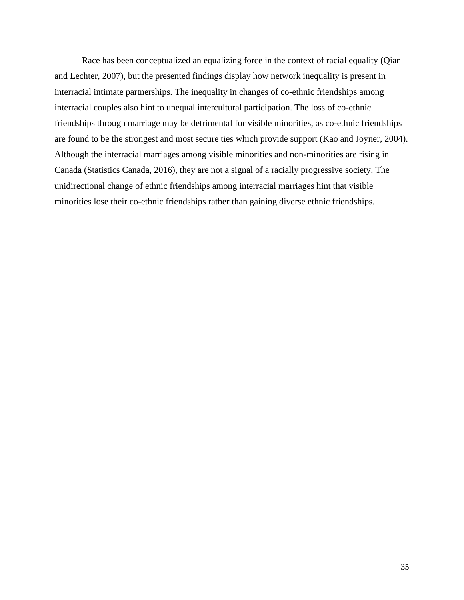Race has been conceptualized an equalizing force in the context of racial equality (Qian and Lechter, 2007), but the presented findings display how network inequality is present in interracial intimate partnerships. The inequality in changes of co-ethnic friendships among interracial couples also hint to unequal intercultural participation. The loss of co-ethnic friendships through marriage may be detrimental for visible minorities, as co-ethnic friendships are found to be the strongest and most secure ties which provide support (Kao and Joyner, 2004). Although the interracial marriages among visible minorities and non-minorities are rising in Canada (Statistics Canada, 2016), they are not a signal of a racially progressive society. The unidirectional change of ethnic friendships among interracial marriages hint that visible minorities lose their co-ethnic friendships rather than gaining diverse ethnic friendships.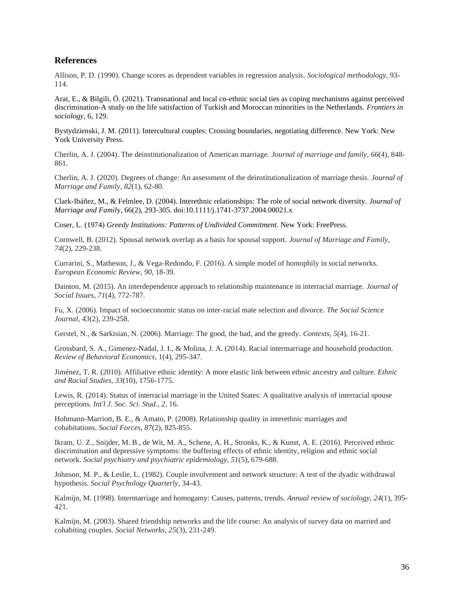## **References**

Allison, P. D. (1990). Change scores as dependent variables in regression analysis. *Sociological methodology*, 93- 114.

Arat, E., & Bilgili, Ö. (2021). Transnational and local co-ethnic social ties as coping mechanisms against perceived discrimination-A study on the life satisfaction of Turkish and Moroccan minorities in the Netherlands. *Frontiers in sociology*, 6, 129.

Bystydzienski, J. M. (2011). Intercultural couples: Crossing boundaries, negotiating difference. New York: New York University Press.

Cherlin, A. J. (2004). The deinstitutionalization of American marriage. *Journal of marriage and family*, *66*(4), 848- 861.

Cherlin, A. J. (2020). Degrees of change: An assessment of the deinstitutionalization of marriage thesis. *Journal of Marriage and Family*, *82*(1), 62-80.

Clark-Ibáñez, M., & Felmlee, D. (2004). Interethnic relationships: The role of social network diversity. *Journal of Marriage and Famil*y, 66(2), 293-305. doi:10.1111/j.1741-3737.2004.00021.x

Coser, L. (1974) *Greedy Institutions: Patterns of Undivided Commitment.* New York: FreePress.

Cornwell, B. (2012). Spousal network overlap as a basis for spousal support. *Journal of Marriage and Family*, *74*(2), 229-238.

Currarini, S., Matheson, J., & Vega-Redondo, F. (2016). A simple model of homophily in social networks. *European Economic Review*, *90*, 18-39.

Dainton, M. (2015). An interdependence approach to relationship maintenance in interracial marriage. *Journal of Social Issues*, *71*(4), 772-787.

Fu, X. (2006). Impact of socioeconomic status on inter-racial mate selection and divorce. *The Social Science Journal*, *43*(2), 239-258.

Gerstel, N., & Sarkisian, N. (2006). Marriage: The good, the bad, and the greedy. *Contexts*, *5*(4), 16-21.

Grossbard, S. A., Gimenez-Nadal, J. I., & Molina, J. A. (2014). Racial intermarriage and household production. *Review of Behavioral Economics*, 1(4), 295-347.

Jiménez, T. R. (2010). Affiliative ethnic identity: A more elastic link between ethnic ancestry and culture. *Ethnic and Racial Studies*, *33*(10), 1756-1775.

Lewis, R. (2014). Status of interracial marriage in the United States: A qualitative analysis of interracial spouse perceptions. *Int'l J. Soc. Sci. Stud.*, *2*, 16.

Hohmann-Marriott, B. E., & Amato, P. (2008). Relationship quality in interethnic marriages and cohabitations. *Social Forces*, *87*(2), 825-855.

Ikram, U. Z., Snijder, M. B., de Wit, M. A., Schene, A. H., Stronks, K., & Kunst, A. E. (2016). Perceived ethnic discrimination and depressive symptoms: the buffering effects of ethnic identity, religion and ethnic social network. *Social psychiatry and psychiatric epidemiology*, *51*(5), 679-688.

Johnson, M. P., & Leslie, L. (1982). Couple involvement and network structure: A test of the dyadic withdrawal hypothesis. *Social Psychology Quarterly*, 34-43.

Kalmijn, M. (1998). Intermarriage and homogamy: Causes, patterns, trends. *Annual review of sociology*, *24*(1), 395- 421.

Kalmijn, M. (2003). Shared friendship networks and the life course: An analysis of survey data on married and cohabiting couples. *Social Networks*, *25*(3), 231-249.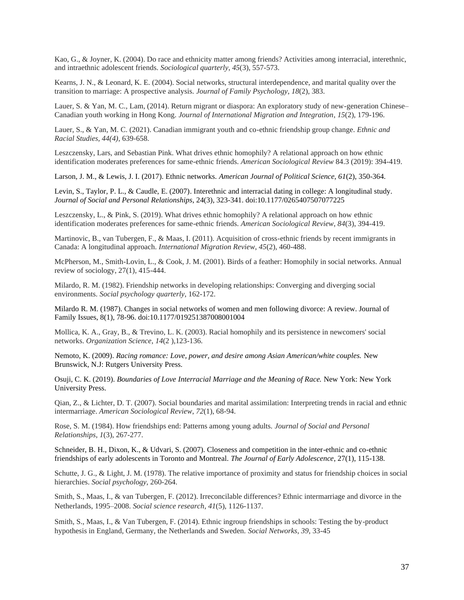Kao, G., & Joyner, K. (2004). Do race and ethnicity matter among friends? Activities among interracial, interethnic, and intraethnic adolescent friends. *Sociological quarterly*, *45*(3), 557-573.

Kearns, J. N., & Leonard, K. E. (2004). Social networks, structural interdependence, and marital quality over the transition to marriage: A prospective analysis. *Journal of Family Psychology*, *18*(2), 383.

Lauer, S. & Yan, M. C., Lam, (2014). Return migrant or diaspora: An exploratory study of new-generation Chinese– Canadian youth working in Hong Kong. *Journal of International Migration and Integration*, *15*(2), 179-196.

Lauer, S., & Yan, M. C. (2021). Canadian immigrant youth and co-ethnic friendship group change. *Ethnic and Racial Studies, 44(4)*, 639-658.

Leszczensky, Lars, and Sebastian Pink. What drives ethnic homophily? A relational approach on how ethnic identification moderates preferences for same-ethnic friends. *American Sociological Review* 84.3 (2019): 394-419.

Larson, J. M., & Lewis, J. I. (2017). Ethnic networks. *American Journal of Political Science, 61*(2), 350-364.

Levin, S., Taylor, P. L., & Caudle, E. (2007). Interethnic and interracial dating in college: A longitudinal study. *Journal of Social and Personal Relationships*, 24(3), 323-341. doi:10.1177/0265407507077225

Leszczensky, L., & Pink, S. (2019). What drives ethnic homophily? A relational approach on how ethnic identification moderates preferences for same-ethnic friends. *American Sociological Review*, *84*(3), 394-419.

Martinovic, B., van Tubergen, F., & Maas, I. (2011). Acquisition of cross-ethnic friends by recent immigrants in Canada: A longitudinal approach. *International Migration Review*, *45*(2), 460-488.

McPherson, M., Smith-Lovin, L., & Cook, J. M. (2001). Birds of a feather: Homophily in social networks. Annual review of sociology, 27(1), 415-444.

Milardo, R. M. (1982). Friendship networks in developing relationships: Converging and diverging social environments. *Social psychology quarterly*, 162-172.

Milardo R. M. (1987). Changes in social networks of women and men following divorce: A review. Journal of Family Issues, 8(1), 78-96. doi:10.1177/019251387008001004

Mollica, K. A., Gray, B., & Trevino, L. K. (2003). Racial homophily and its persistence in newcomers' social networks. *Organization Science*, *14*(2 ),123-136.

Nemoto, K. (2009). *Racing romance: Love, power, and desire among Asian American/white couples.* New Brunswick, N.J: Rutgers University Press.

Osuji, C. K. (2019). *Boundaries of Love Interracial Marriage and the Meaning of Race.* New York: New York University Press.

Qian, Z., & Lichter, D. T. (2007). Social boundaries and marital assimilation: Interpreting trends in racial and ethnic intermarriage. *American Sociological Review*, *72*(1), 68-94.

Rose, S. M. (1984). How friendships end: Patterns among young adults. *Journal of Social and Personal Relationships*, *1*(3), 267-277.

Schneider, B. H., Dixon, K., & Udvari, S. (2007). Closeness and competition in the inter-ethnic and co-ethnic friendships of early adolescents in Toronto and Montreal. *The Journal of Early Adolescence*, 27(1), 115-138.

Schutte, J. G., & Light, J. M. (1978). The relative importance of proximity and status for friendship choices in social hierarchies. *Social psychology*, 260-264.

Smith, S., Maas, I., & van Tubergen, F. (2012). Irreconcilable differences? Ethnic intermarriage and divorce in the Netherlands, 1995–2008. *Social science research*, *41*(5), 1126-1137.

Smith, S., Maas, I., & Van Tubergen, F. (2014). Ethnic ingroup friendships in schools: Testing the by-product hypothesis in England, Germany, the Netherlands and Sweden. *Social Networks*, *39*, 33-45